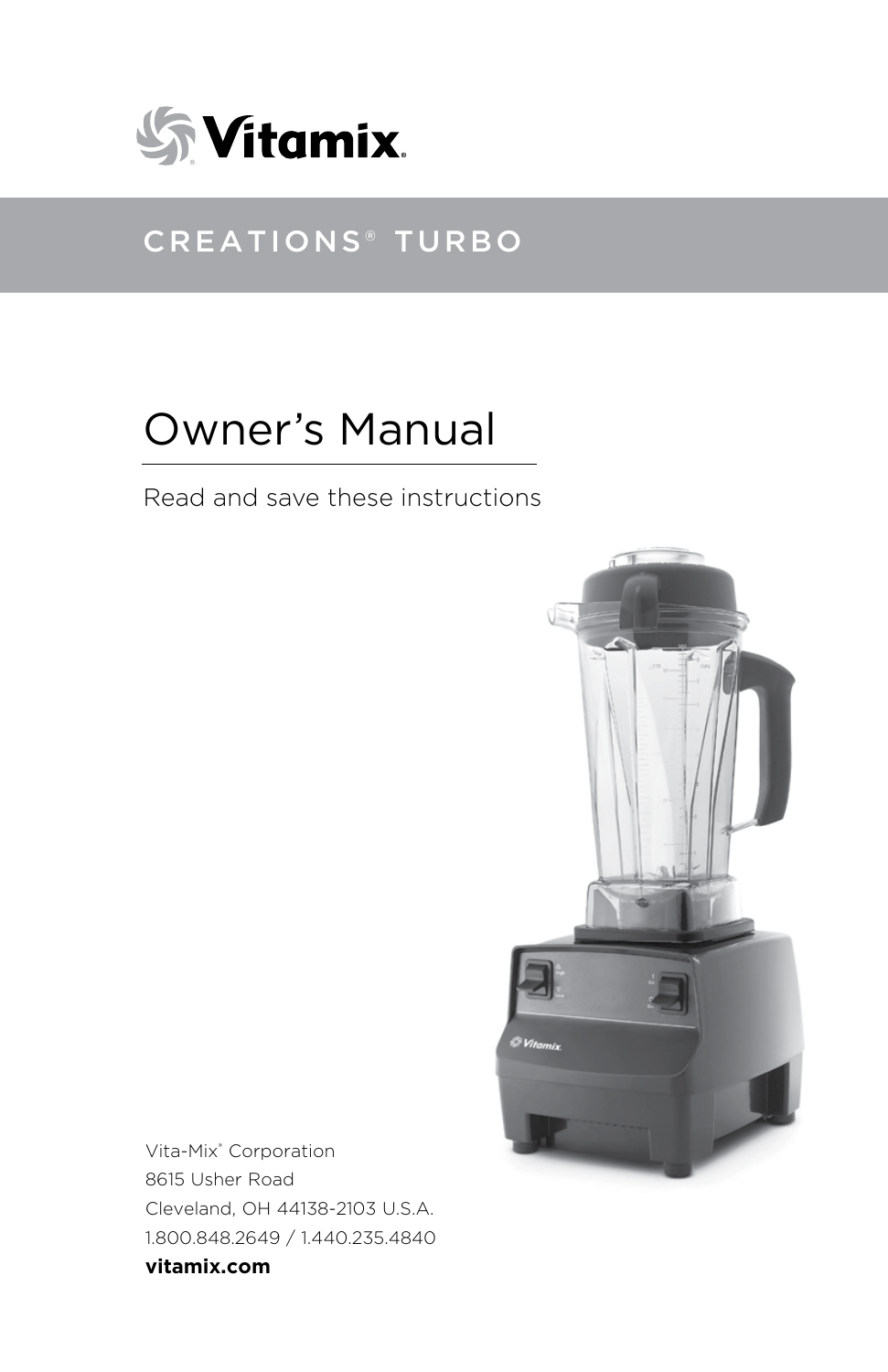

## Creations® Turbo

# Owner's Manual

Read and save these instructions



Vita-Mix® Corporation 8615 Usher Road Cleveland, OH 44138-2103 U.S.A. 1.800.848.2649 / 1.440.235.4840 **vitamix.com**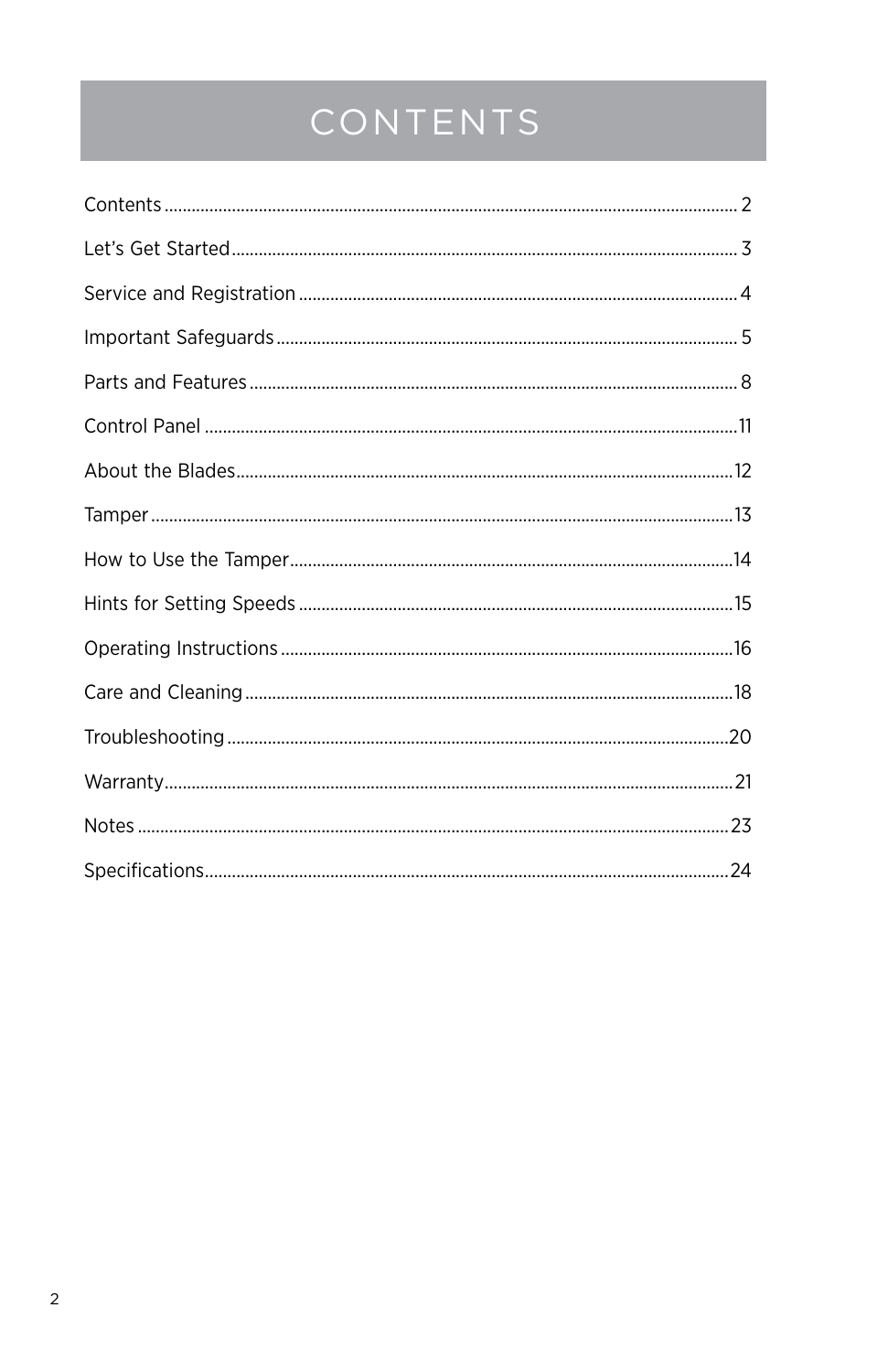# CONTENTS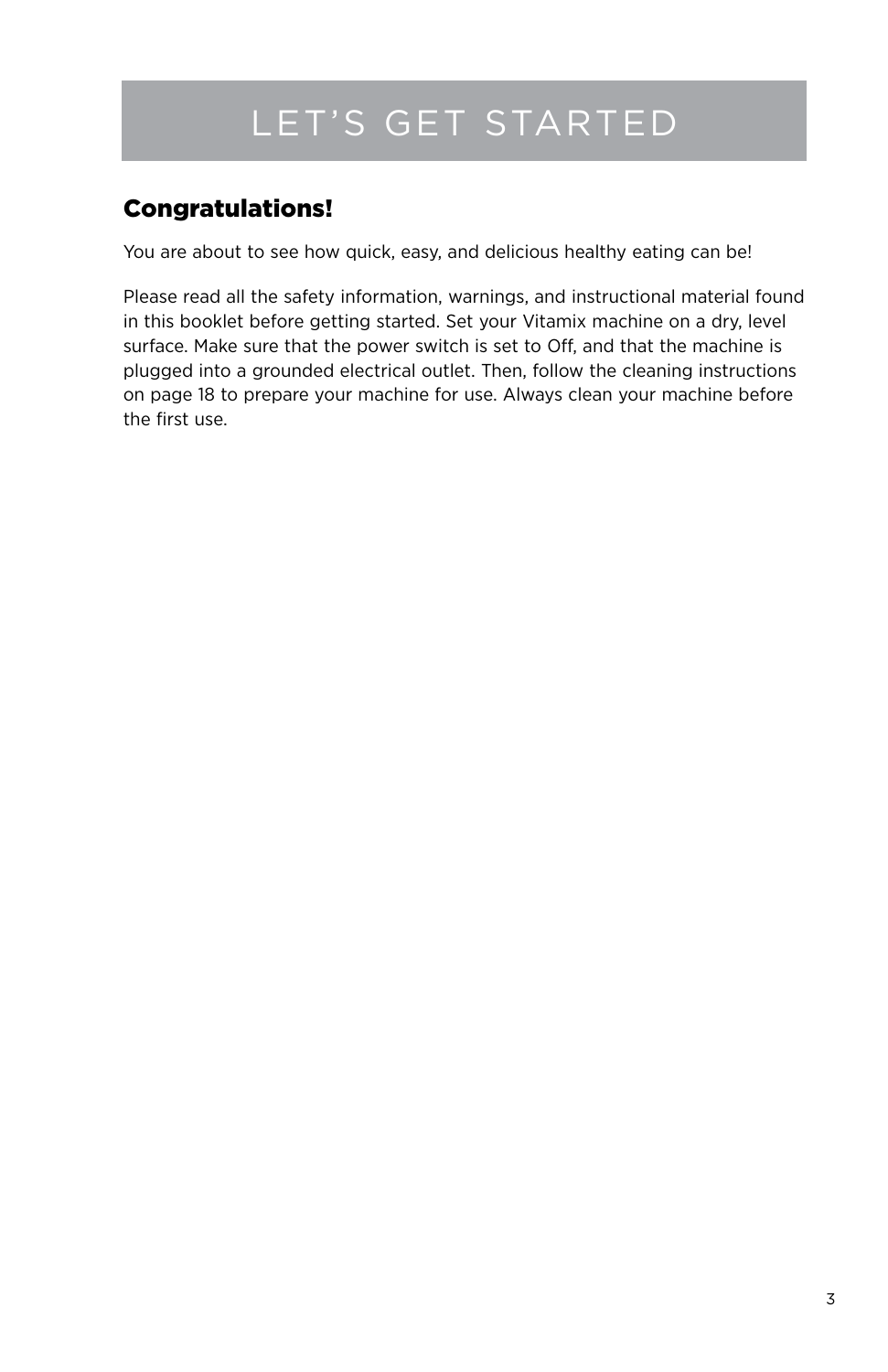## Let's Get Started

## Congratulations!

You are about to see how quick, easy, and delicious healthy eating can be!

Please read all the safety information, warnings, and instructional material found in this booklet before getting started. Set your Vitamix machine on a dry, level surface. Make sure that the power switch is set to Off, and that the machine is plugged into a grounded electrical outlet. Then, follow the cleaning instructions on page 18 to prepare your machine for use. Always clean your machine before the first use.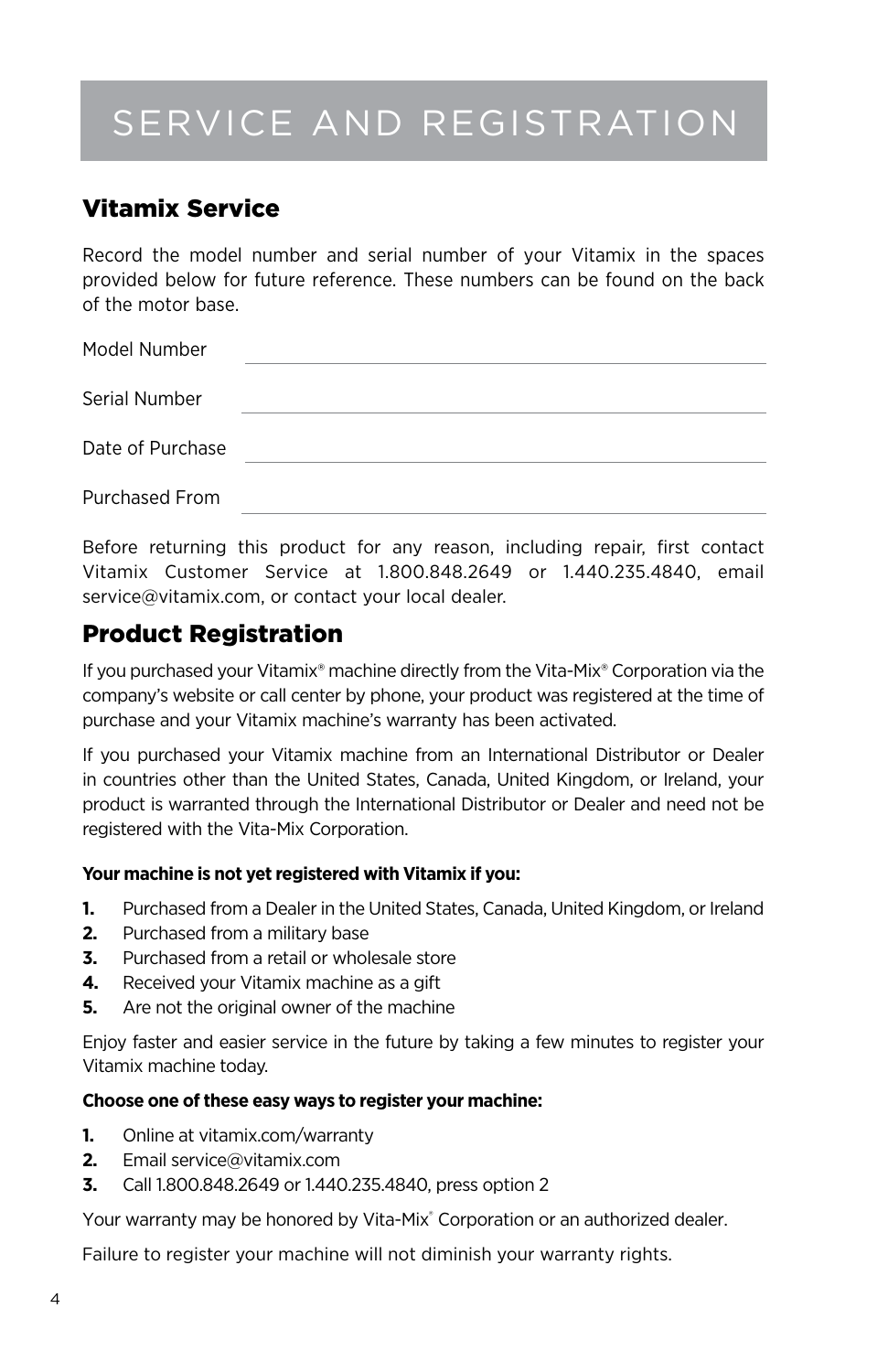# Service and Registration

## Vitamix Service

Record the model number and serial number of your Vitamix in the spaces provided below for future reference. These numbers can be found on the back of the motor base.

| Model Number     |  |
|------------------|--|
| Serial Number    |  |
| Date of Purchase |  |
| Purchased From   |  |

Before returning this product for any reason, including repair, first contact Vitamix Customer Service at 1.800.848.2649 or 1.440.235.4840, email service@vitamix.com, or contact your local dealer.

### Product Registration

If you purchased your Vitamix® machine directly from the Vita-Mix® Corporation via the company's website or call center by phone, your product was registered at the time of purchase and your Vitamix machine's warranty has been activated.

If you purchased your Vitamix machine from an International Distributor or Dealer in countries other than the United States, Canada, United Kingdom, or Ireland, your product is warranted through the International Distributor or Dealer and need not be registered with the Vita-Mix Corporation.

#### **Your machine is not yet registered with Vitamix if you:**

- **1.** Purchased from a Dealer in the United States, Canada, United Kingdom, or Ireland
- **2.** Purchased from a military base
- **3.** Purchased from a retail or wholesale store
- **4.** Received your Vitamix machine as a gift
- **5.** Are not the original owner of the machine

Enjoy faster and easier service in the future by taking a few minutes to register your Vitamix machine today.

#### **Choose one of these easy ways to register your machine:**

- **1.** Online at vitamix.com/warranty
- **2.** Email service@vitamix.com
- **3.** Call 1.800.848.2649 or 1.440.235.4840, press option 2

Your warranty may be honored by Vita-Mix® Corporation or an authorized dealer.

Failure to register your machine will not diminish your warranty rights.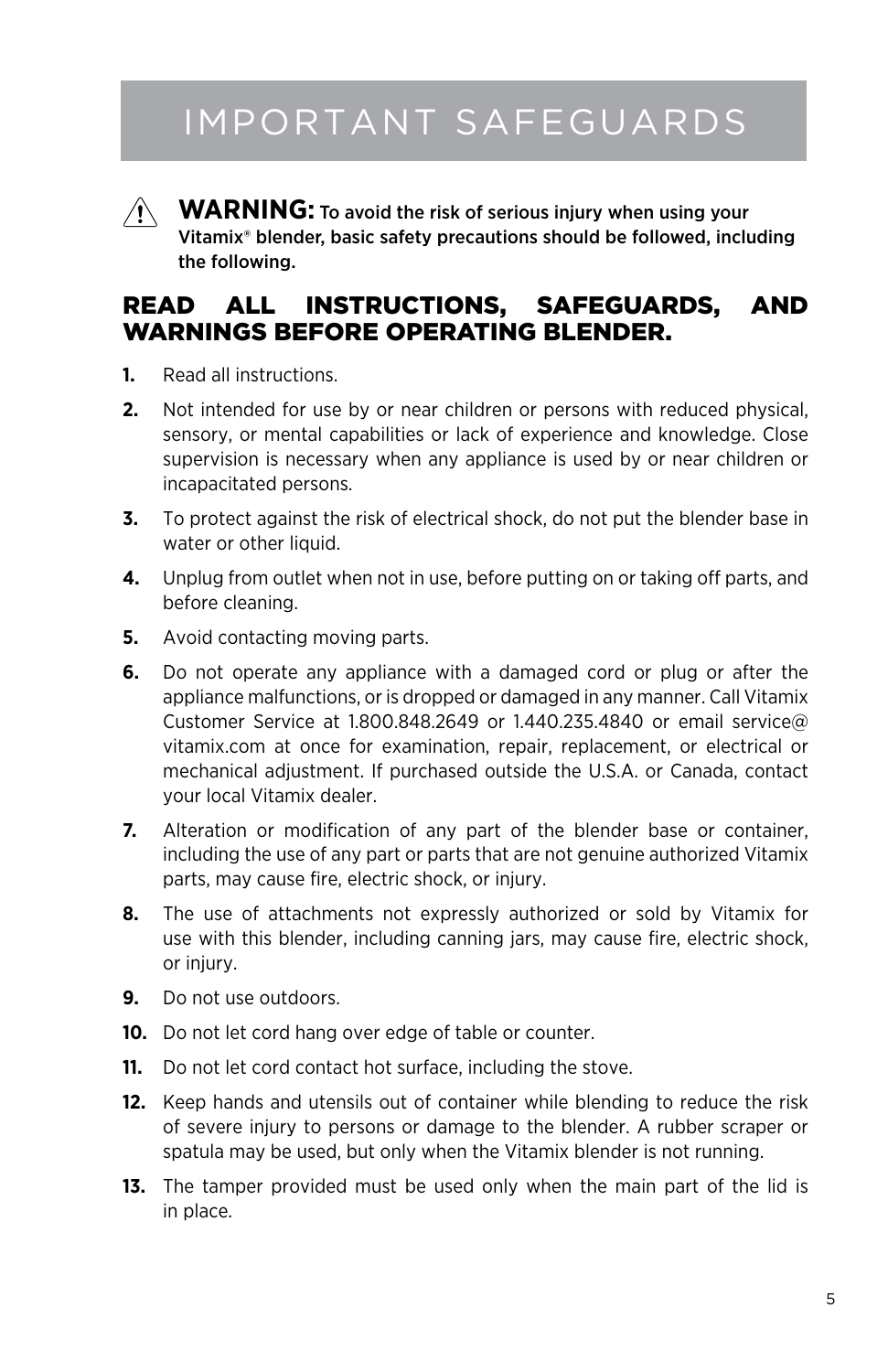## Important safeguards

![](_page_4_Picture_1.jpeg)

**WARNING:** To avoid the risk of serious injury when using your Vitamix® blender, basic safety precautions should be followed, including the following.

### READ ALL INSTRUCTIONS, SAFEGUARDS, AND WARNINGS BEFORE OPERATING BLENDER.

- **1.** Read all instructions.
- **2.** Not intended for use by or near children or persons with reduced physical, sensory, or mental capabilities or lack of experience and knowledge. Close supervision is necessary when any appliance is used by or near children or incapacitated persons.
- **3.** To protect against the risk of electrical shock, do not put the blender base in water or other liquid.
- **4.** Unplug from outlet when not in use, before putting on or taking off parts, and before cleaning.
- **5.** Avoid contacting moving parts.
- **6.** Do not operate any appliance with a damaged cord or plug or after the appliance malfunctions, or is dropped or damaged in any manner. Call Vitamix Customer Service at 1.800.848.2649 or 1.440.235.4840 or email service@ vitamix.com at once for examination, repair, replacement, or electrical or mechanical adjustment. If purchased outside the U.S.A. or Canada, contact your local Vitamix dealer.
- **7.** Alteration or modification of any part of the blender base or container, including the use of any part or parts that are not genuine authorized Vitamix parts, may cause fire, electric shock, or injury.
- **8.** The use of attachments not expressly authorized or sold by Vitamix for use with this blender, including canning jars, may cause fire, electric shock, or injury.
- **9.** Do not use outdoors.
- **10.** Do not let cord hang over edge of table or counter.
- **11.** Do not let cord contact hot surface, including the stove.
- **12.** Keep hands and utensils out of container while blending to reduce the risk of severe injury to persons or damage to the blender. A rubber scraper or spatula may be used, but only when the Vitamix blender is not running.
- **13.** The tamper provided must be used only when the main part of the lid is in place.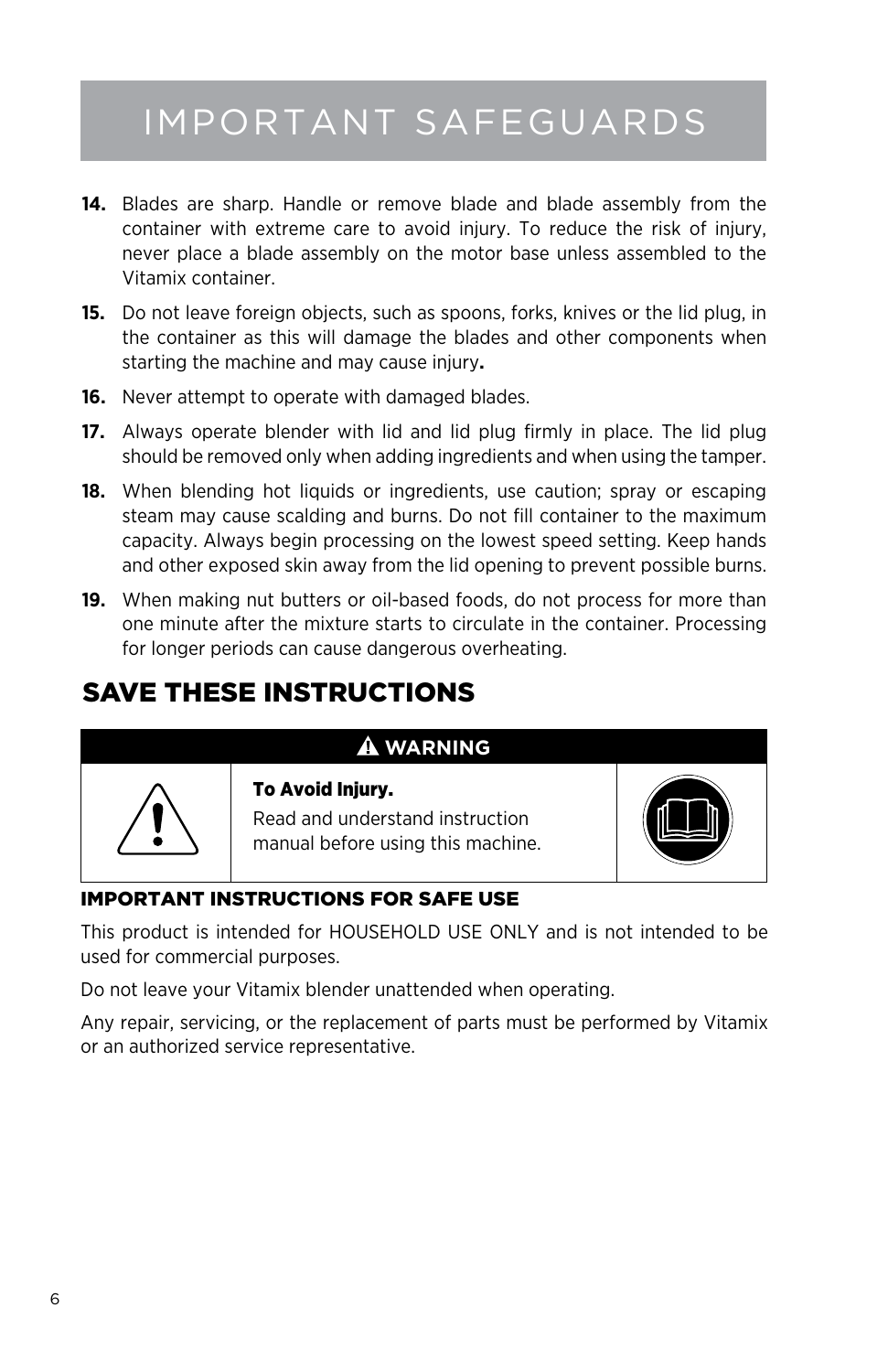## Important safeguards

- **14.** Blades are sharp. Handle or remove blade and blade assembly from the container with extreme care to avoid injury. To reduce the risk of injury, never place a blade assembly on the motor base unless assembled to the Vitamix container.
- **15.** Do not leave foreign objects, such as spoons, forks, knives or the lid plug, in the container as this will damage the blades and other components when starting the machine and may cause injury**.**
- **16.** Never attempt to operate with damaged blades.
- **17.** Always operate blender with lid and lid plug firmly in place. The lid plug should be removed only when adding ingredients and when using the tamper.
- **18.** When blending hot liquids or ingredients, use caution; spray or escaping steam may cause scalding and burns. Do not fill container to the maximum capacity. Always begin processing on the lowest speed setting. Keep hands and other exposed skin away from the lid opening to prevent possible burns.
- **19.** When making nut butters or oil-based foods, do not process for more than one minute after the mixture starts to circulate in the container. Processing for longer periods can cause dangerous overheating.

## SAVE THESE INSTRUCTIONS

### **WARNING**

![](_page_5_Picture_9.jpeg)

#### To Avoid Injury.

Read and understand instruction manual before using this machine.

![](_page_5_Picture_12.jpeg)

### IMPORTANT INSTRUCTIONS FOR SAFE USE

This product is intended for HOUSEHOLD USE ONLY and is not intended to be used for commercial purposes.

Do not leave your Vitamix blender unattended when operating.

Any repair, servicing, or the replacement of parts must be performed by Vitamix or an authorized service representative.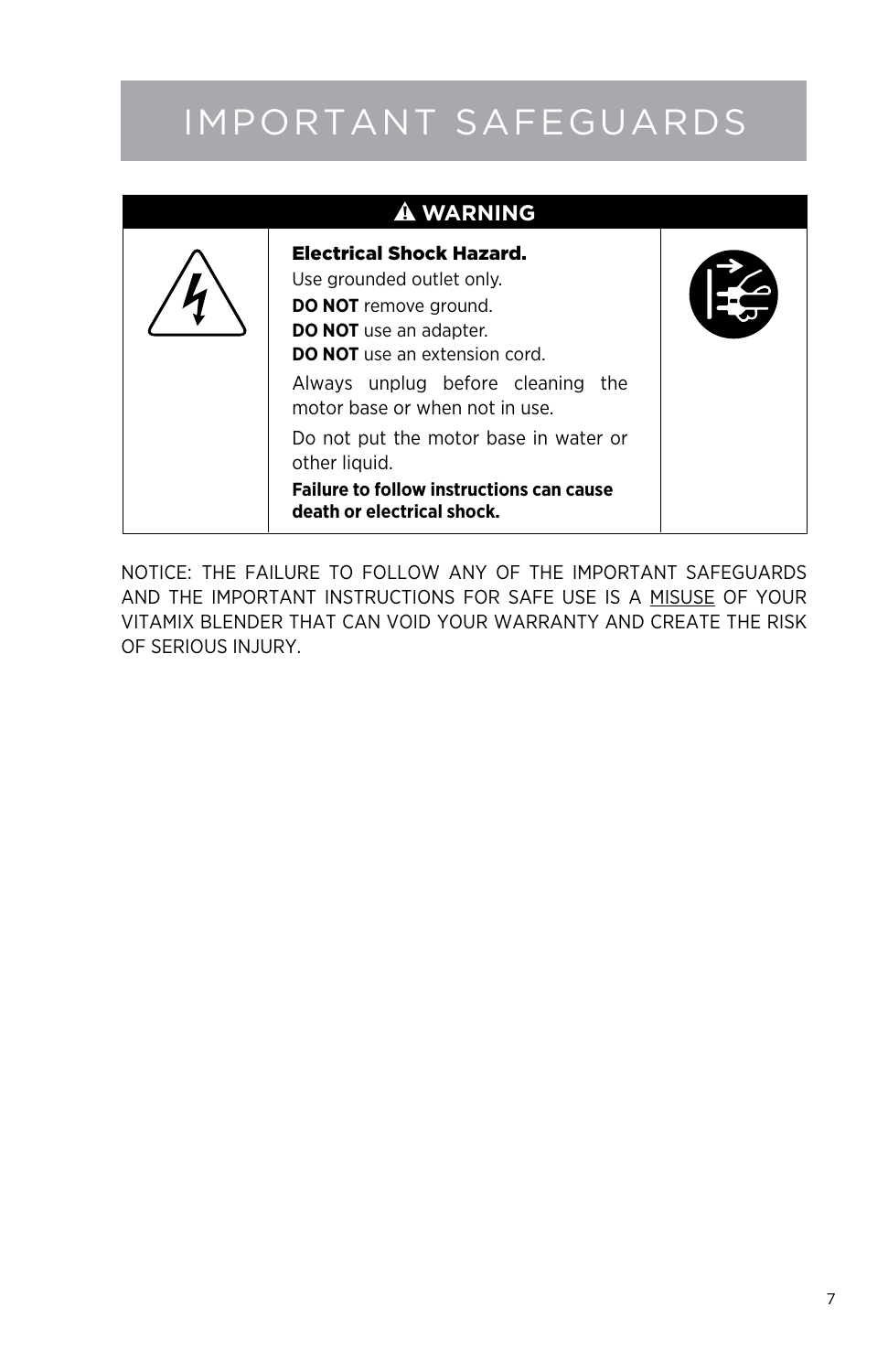## Important safeguards

| <b>A WARNING</b>                                                                                                                                                                                                                                |  |
|-------------------------------------------------------------------------------------------------------------------------------------------------------------------------------------------------------------------------------------------------|--|
| <b>Electrical Shock Hazard.</b><br>Use grounded outlet only.<br><b>DO NOT</b> remove ground.<br><b>DO NOT</b> use an adapter.<br><b>DO NOT</b> use an extension cord.<br>Always unplug before cleaning<br>the<br>motor base or when not in use. |  |
| Do not put the motor base in water or<br>other liquid.<br><b>Failure to follow instructions can cause</b><br>death or electrical shock.                                                                                                         |  |

### NOTICE: THE FAILURE TO FOLLOW ANY OF THE IMPORTANT SAFEGUARDS AND THE IMPORTANT INSTRUCTIONS FOR SAFE USE IS A MISUSE OF YOUR VITAMIX BLENDER THAT CAN VOID YOUR WARRANTY AND CREATE THE RISK OF SERIOUS INJURY.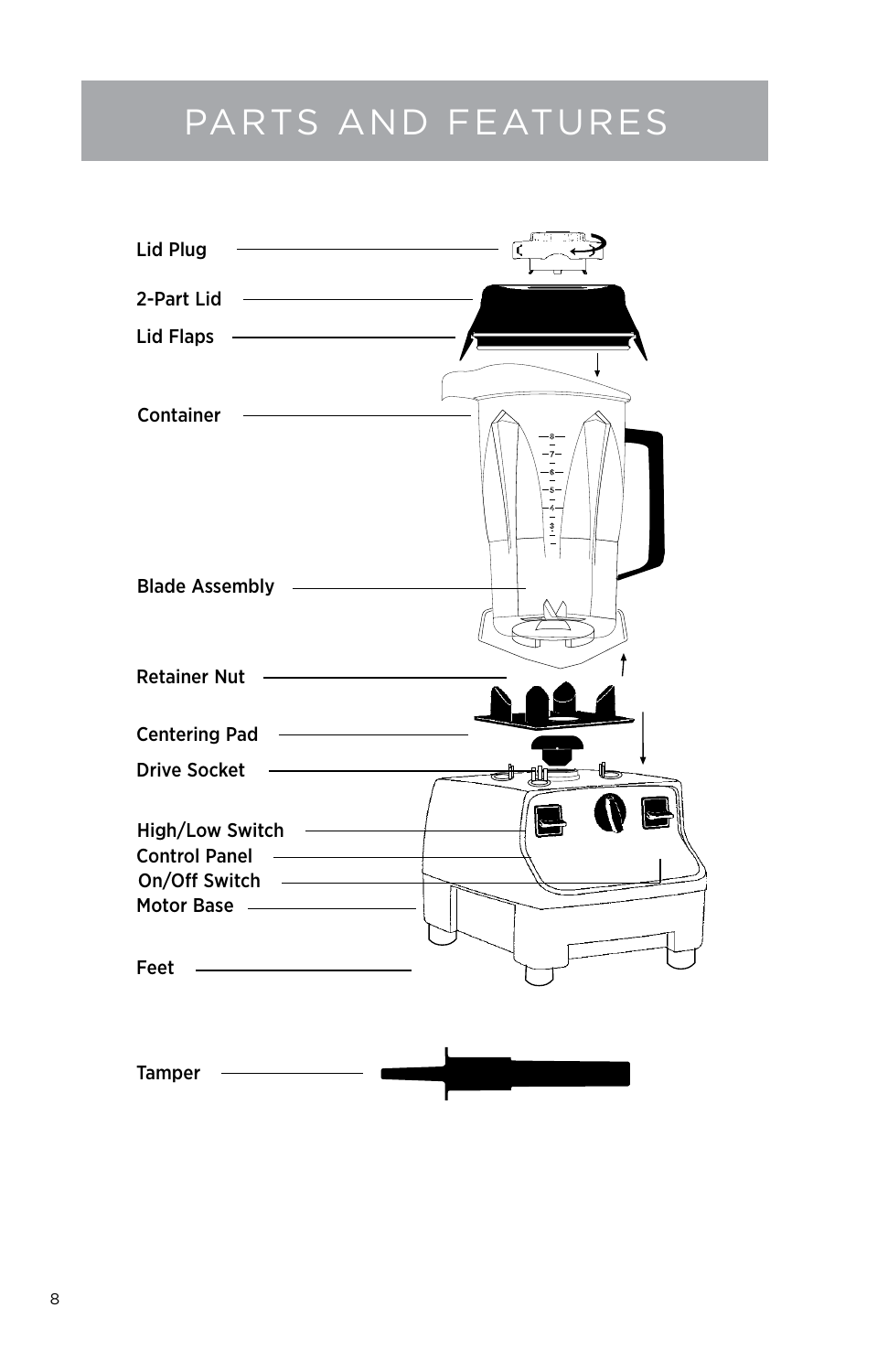## Parts and Features

![](_page_7_Figure_1.jpeg)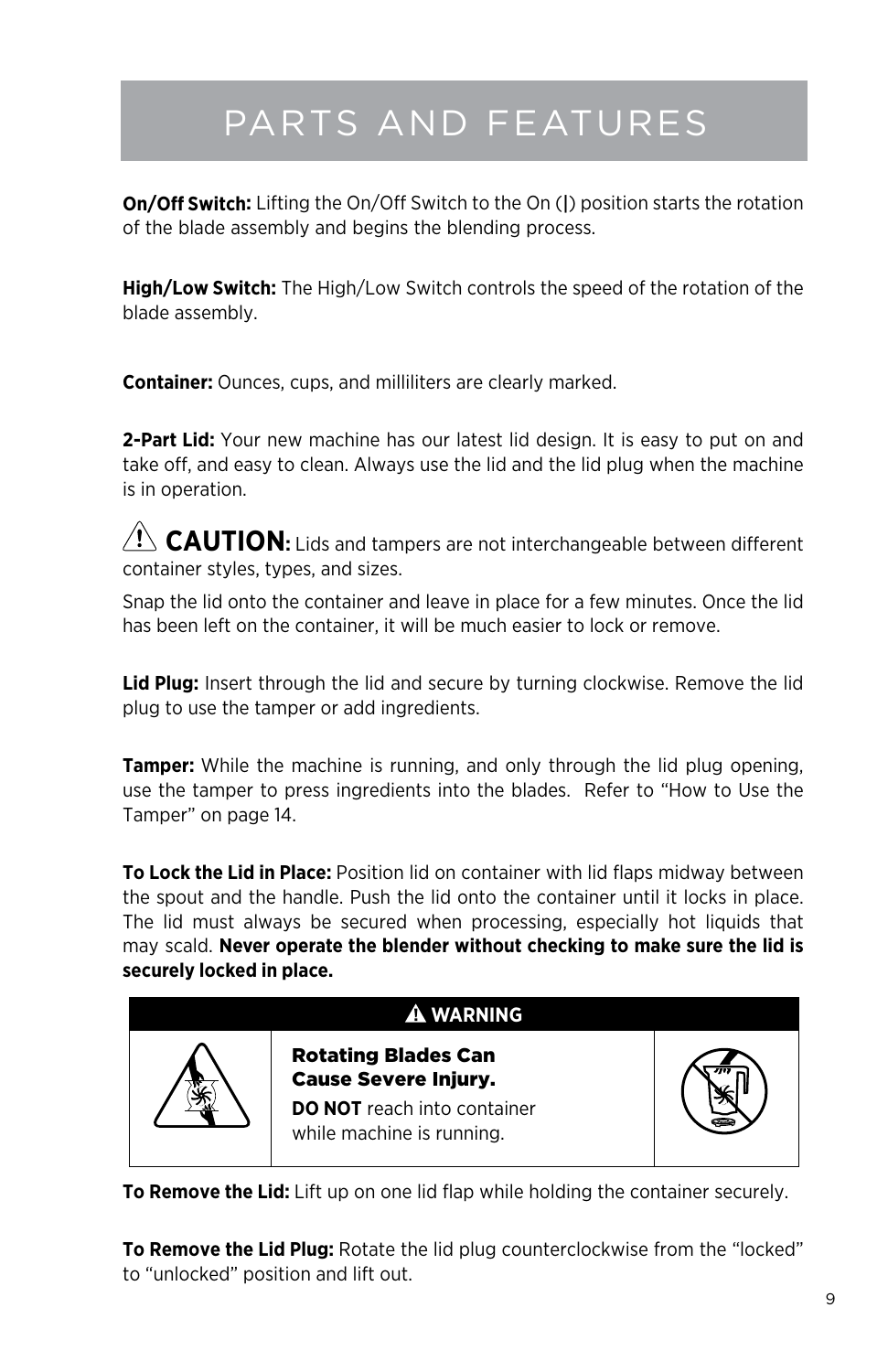# Parts and Features

**On/Off Switch:** Lifting the On/Off Switch to the On (|) position starts the rotation of the blade assembly and begins the blending process.

**High/Low Switch:** The High/Low Switch controls the speed of the rotation of the blade assembly.

**Container:** Ounces, cups, and milliliters are clearly marked.

**2-Part Lid:** Your new machine has our latest lid design. It is easy to put on and take off, and easy to clean. Always use the lid and the lid plug when the machine is in operation.

 $\sqrt{N}$  **CAUTION:** Lids and tampers are not interchangeable between different container styles, types, and sizes.

Snap the lid onto the container and leave in place for a few minutes. Once the lid has been left on the container, it will be much easier to lock or remove.

**Lid Plug:** Insert through the lid and secure by turning clockwise. Remove the lid plug to use the tamper or add ingredients.

**Tamper:** While the machine is running, and only through the lid plug opening, use the tamper to press ingredients into the blades. Refer to "How to Use the Tamper" on page 14.

**To Lock the Lid in Place:** Position lid on container with lid flaps midway between the spout and the handle. Push the lid onto the container until it locks in place. The lid must always be secured when processing, especially hot liquids that may scald. **Never operate the blender without checking to make sure the lid is securely locked in place.**

![](_page_8_Figure_10.jpeg)

**To Remove the Lid:** Lift up on one lid flap while holding the container securely.

**To Remove the Lid Plug:** Rotate the lid plug counterclockwise from the "locked" to "unlocked" position and lift out.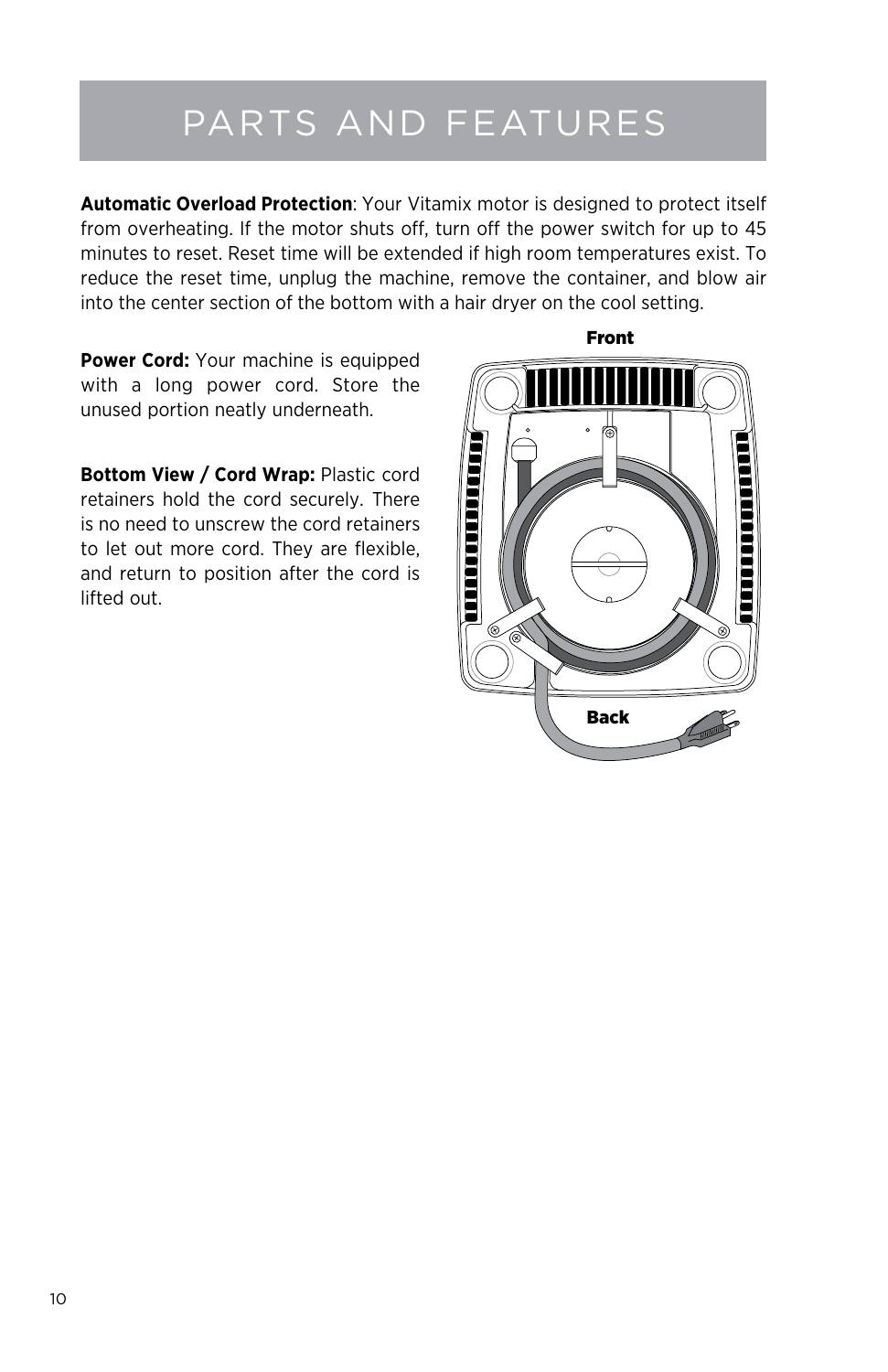## Parts and Features

**Automatic Overload Protection**: Your Vitamix motor is designed to protect itself from overheating. If the motor shuts off, turn off the power switch for up to 45 minutes to reset. Reset time will be extended if high room temperatures exist. To reduce the reset time, unplug the machine, remove the container, and blow air into the center section of the bottom with a hair dryer on the cool setting.

**Power Cord:** Your machine is equipped with a long power cord. Store the unused portion neatly underneath.

**Bottom View / Cord Wrap:** Plastic cord retainers hold the cord securely. There is no need to unscrew the cord retainers to let out more cord. They are flexible, and return to position after the cord is lifted out.

![](_page_9_Figure_4.jpeg)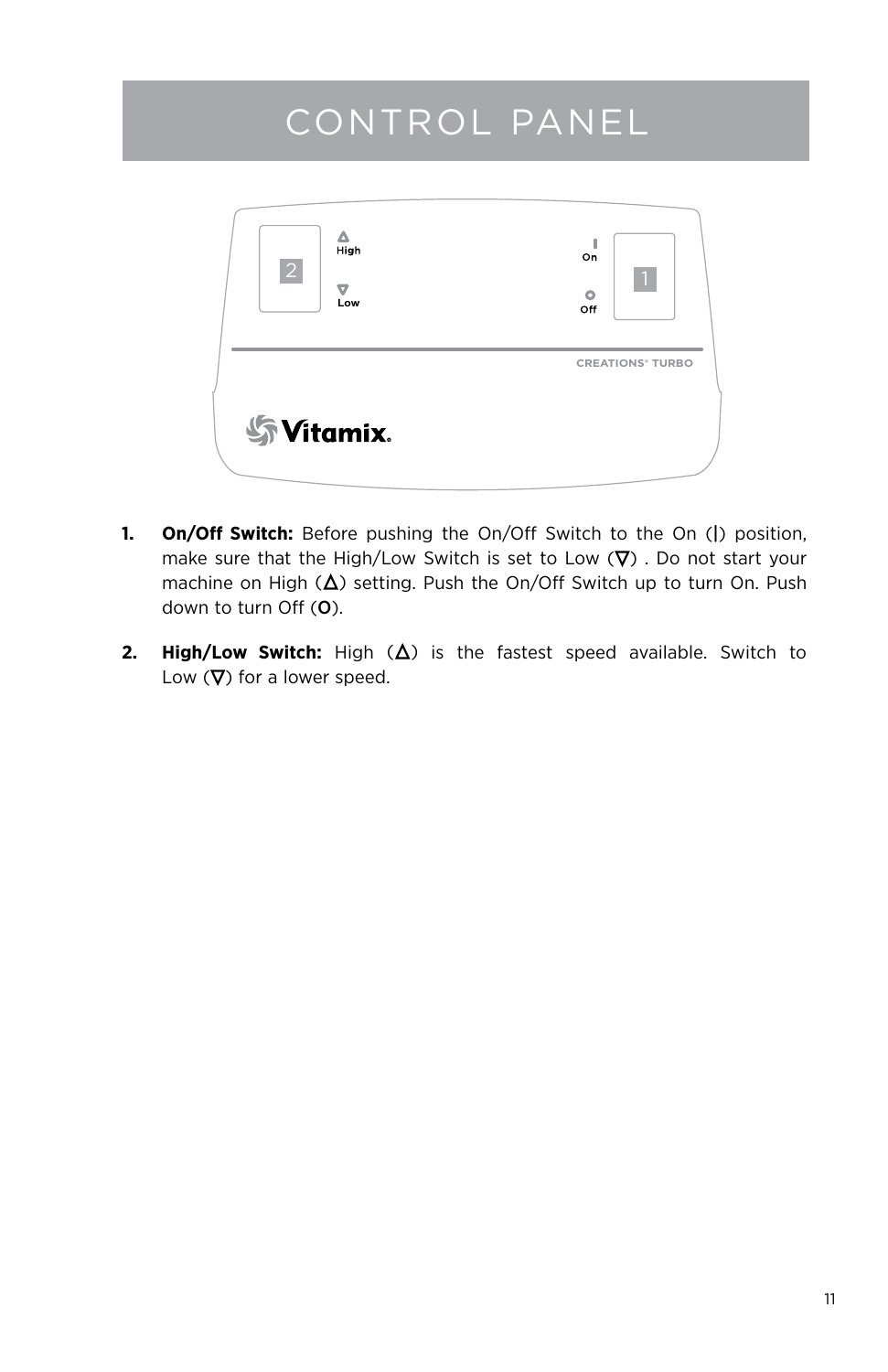## Control Panel

![](_page_10_Figure_1.jpeg)

- **1. On/Off Switch:** Before pushing the On/Off Switch to the On (|) position, make sure that the High/Low Switch is set to Low  $(\nabla)$ . Do not start your machine on High  $(\Delta)$  setting. Push the On/Off Switch up to turn On. Push down to turn Off (O).
- **2. High/Low Switch:** High  $(\Delta)$  is the fastest speed available. Switch to Low  $(\nabla)$  for a lower speed.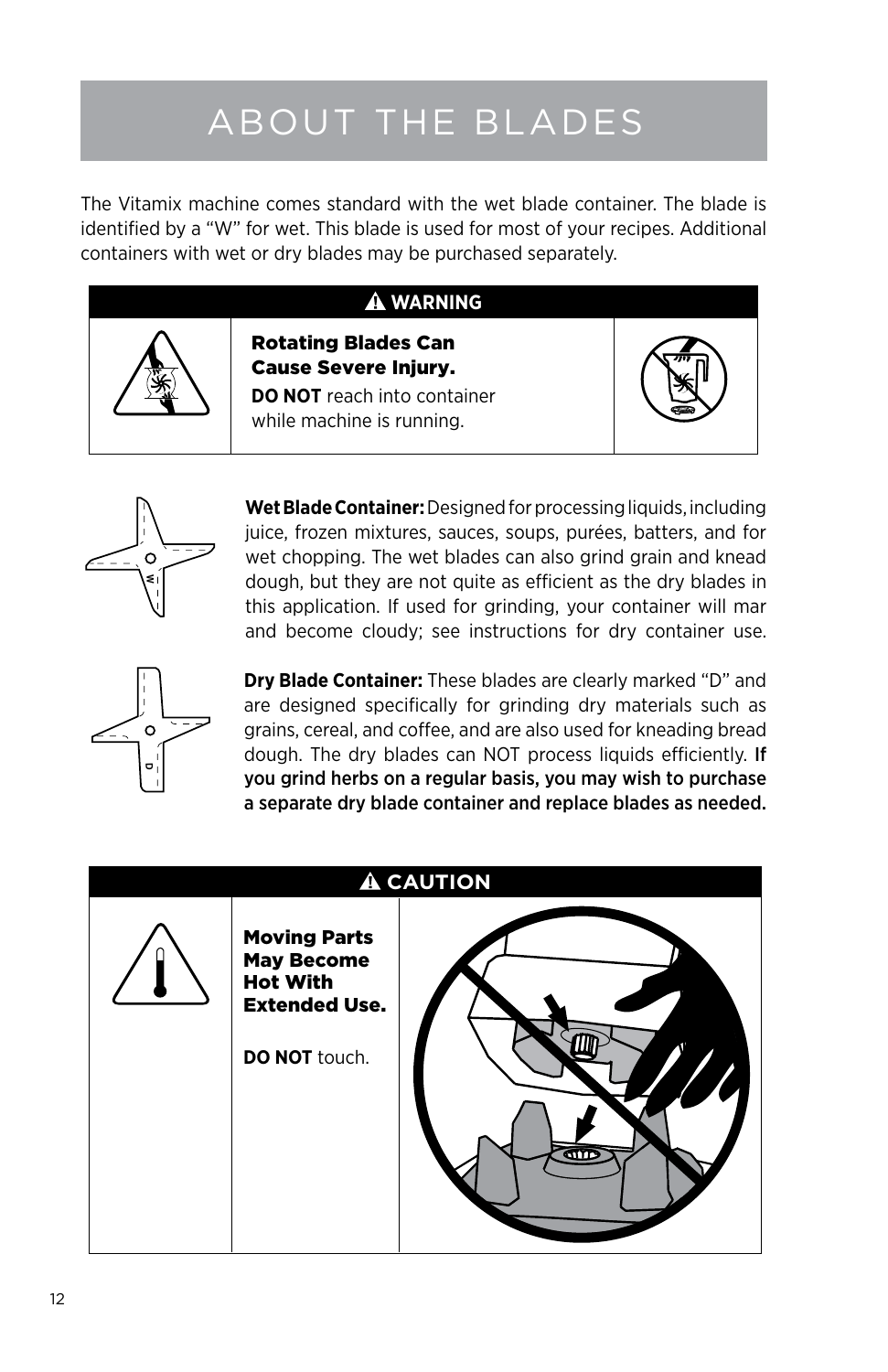# About the Blades

The Vitamix machine comes standard with the wet blade container. The blade is identified by a "W" for wet. This blade is used for most of your recipes. Additional containers with wet or dry blades may be purchased separately.

### **WARNING**

![](_page_11_Picture_3.jpeg)

Cause Severe Injury. **DO NOT** reach into container while machine is running.

Rotating Blades Can

![](_page_11_Picture_5.jpeg)

![](_page_11_Picture_6.jpeg)

**Wet Blade Container:** Designed for processing liquids, including juice, frozen mixtures, sauces, soups, purées, batters, and for wet chopping. The wet blades can also grind grain and knead dough, but they are not quite as efficient as the dry blades in this application. If used for grinding, your container will mar and become cloudy; see instructions for dry container use.

![](_page_11_Picture_8.jpeg)

**Dry Blade Container:** These blades are clearly marked "D" and are designed specifically for grinding dry materials such as grains, cereal, and coffee, and are also used for kneading bread dough. The dry blades can NOT process liquids efficiently. If you grind herbs on a regular basis, you may wish to purchase a separate dry blade container and replace blades as needed.

![](_page_11_Picture_10.jpeg)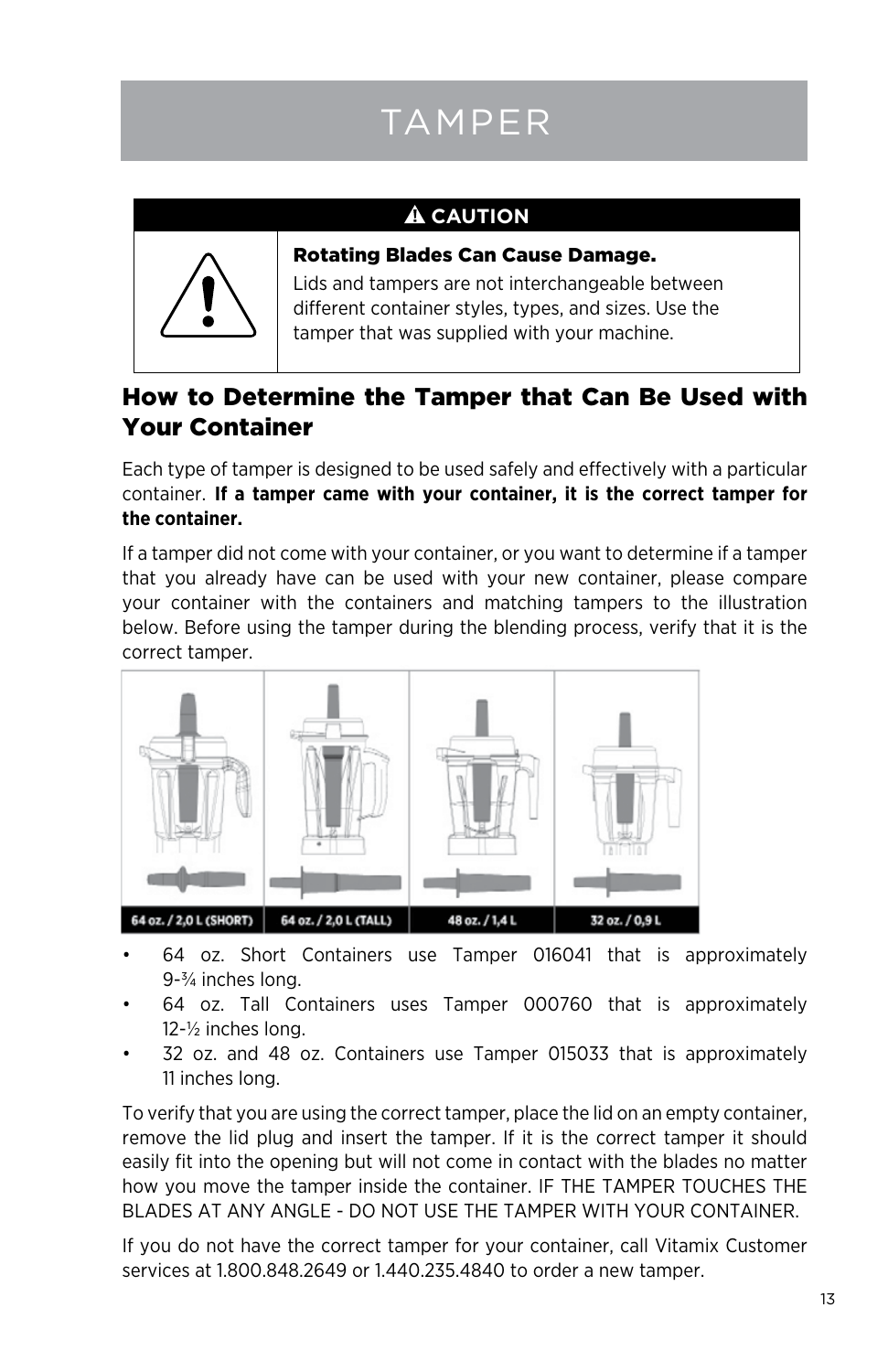# **TAMPER**

### **A** CAUTION

![](_page_12_Picture_2.jpeg)

Rotating Blades Can Cause Damage.

Lids and tampers are not interchangeable between different container styles, types, and sizes. Use the tamper that was supplied with your machine.

## How to Determine the Tamper that Can Be Used with Your Container

Each type of tamper is designed to be used safely and effectively with a particular container. **If a tamper came with your container, it is the correct tamper for the container.**

If a tamper did not come with your container, or you want to determine if a tamper that you already have can be used with your new container, please compare your container with the containers and matching tampers to the illustration below. Before using the tamper during the blending process, verify that it is the correct tamper.

![](_page_12_Picture_8.jpeg)

- 64 oz. Short Containers use Tamper 016041 that is approximately 9-¾ inches long.
- 64 oz. Tall Containers uses Tamper 000760 that is approximately 12-½ inches long.
- 32 oz. and 48 oz. Containers use Tamper 015033 that is approximately 11 inches long.

To verify that you are using the correct tamper, place the lid on an empty container, remove the lid plug and insert the tamper. If it is the correct tamper it should easily fit into the opening but will not come in contact with the blades no matter how you move the tamper inside the container. IF THE TAMPER TOUCHES THE BLADES AT ANY ANGLE - DO NOT USE THE TAMPER WITH YOUR CONTAINER.

If you do not have the correct tamper for your container, call Vitamix Customer services at 1.800.848.2649 or 1.440.235.4840 to order a new tamper.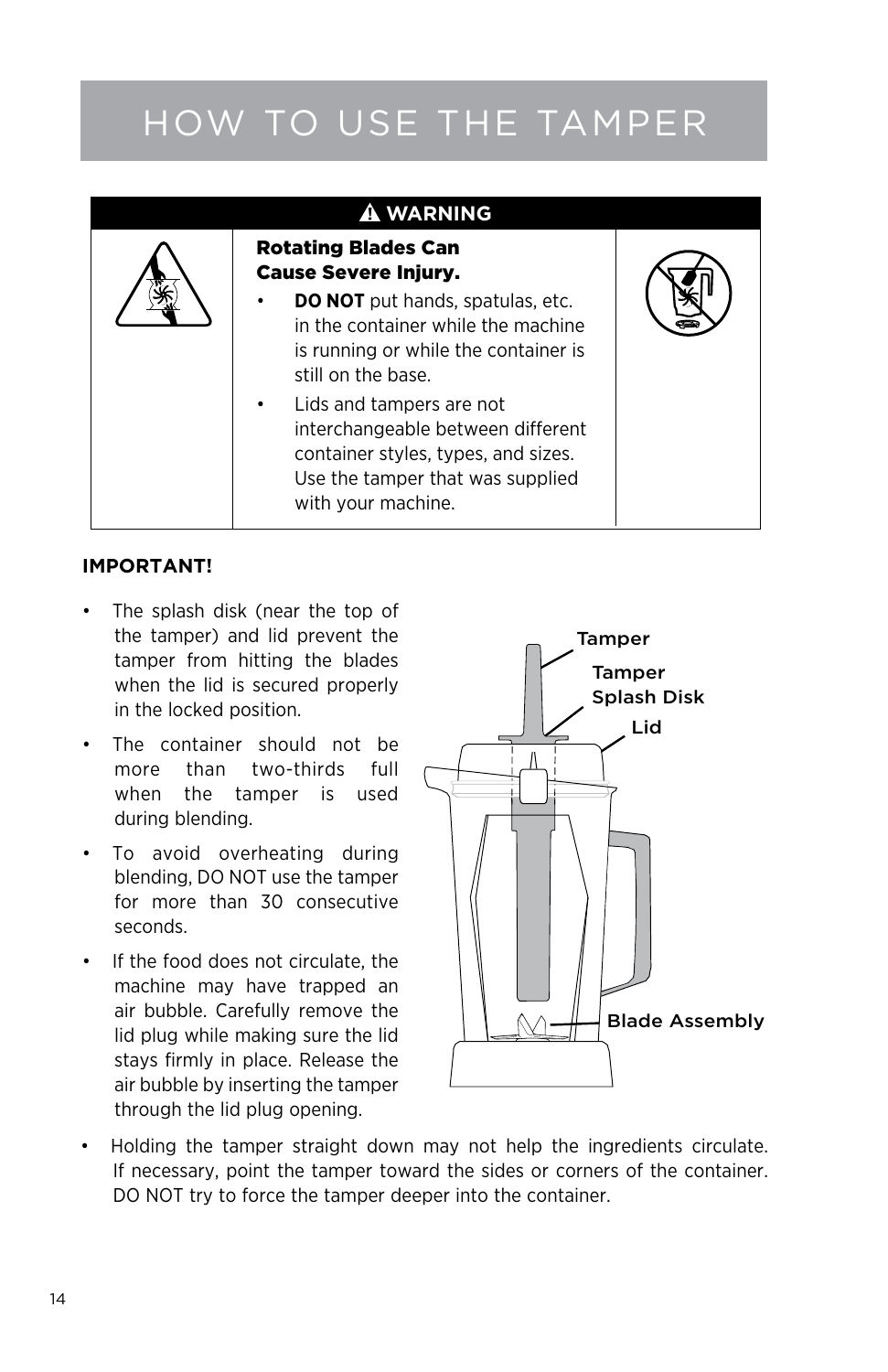# How to Use the Tamper

![](_page_13_Picture_1.jpeg)

#### **IMPORTANT!**

- The splash disk (near the top of the tamper) and lid prevent the tamper from hitting the blades when the lid is secured properly in the locked position.
- • The container should not be more than two-thirds full when the tamper is used during blending.
- • To avoid overheating during blending, DO NOT use the tamper for more than 30 consecutive seconds.
- • If the food does not circulate, the machine may have trapped an air bubble. Carefully remove the lid plug while making sure the lid stays firmly in place. Release the air bubble by inserting the tamper through the lid plug opening.

![](_page_13_Picture_7.jpeg)

Holding the tamper straight down may not help the ingredients circulate. If necessary, point the tamper toward the sides or corners of the container. DO NOT try to force the tamper deeper into the container.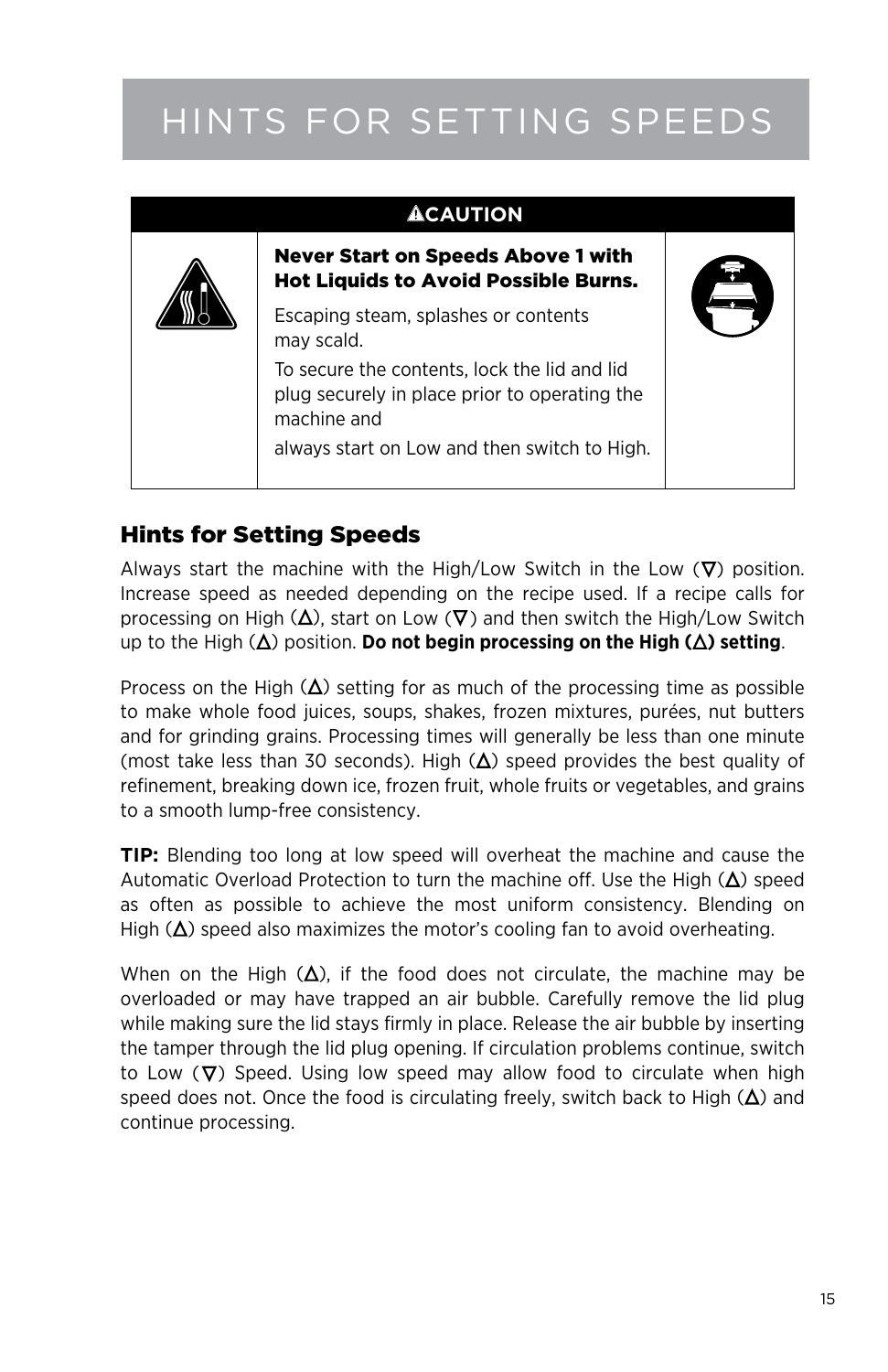# Hints for Setting Speeds

| <b>ACAUTION</b>                                                                                              |  |
|--------------------------------------------------------------------------------------------------------------|--|
| Never Start on Speeds Above 1 with<br><b>Hot Liquids to Avoid Possible Burns.</b>                            |  |
| Escaping steam, splashes or contents<br>may scald.                                                           |  |
| To secure the contents, lock the lid and lid<br>plug securely in place prior to operating the<br>machine and |  |
| always start on Low and then switch to High.                                                                 |  |

### Hints for Setting Speeds

Always start the machine with the High/Low Switch in the Low  $(\nabla)$  position. Increase speed as needed depending on the recipe used. If a recipe calls for processing on High  $(\Delta)$ , start on Low  $(\nabla)$  and then switch the High/Low Switch up to the High  $(\Delta)$  position. **Do not begin processing on the High**  $(\Delta)$  **setting.** 

Process on the High  $(\Delta)$  setting for as much of the processing time as possible to make whole food juices, soups, shakes, frozen mixtures, purées, nut butters and for grinding grains. Processing times will generally be less than one minute (most take less than 30 seconds). High  $(\Delta)$  speed provides the best quality of refinement, breaking down ice, frozen fruit, whole fruits or vegetables, and grains to a smooth lump-free consistency.

**TIP:** Blending too long at low speed will overheat the machine and cause the Automatic Overload Protection to turn the machine off. Use the High  $(\Delta)$  speed as often as possible to achieve the most uniform consistency. Blending on High  $(\Delta)$  speed also maximizes the motor's cooling fan to avoid overheating.

When on the High  $(\Delta)$ , if the food does not circulate, the machine may be overloaded or may have trapped an air bubble. Carefully remove the lid plug while making sure the lid stays firmly in place. Release the air bubble by inserting the tamper through the lid plug opening. If circulation problems continue, switch to Low  $(\nabla)$  Speed. Using low speed may allow food to circulate when high speed does not. Once the food is circulating freely, switch back to High  $(\Delta)$  and continue processing.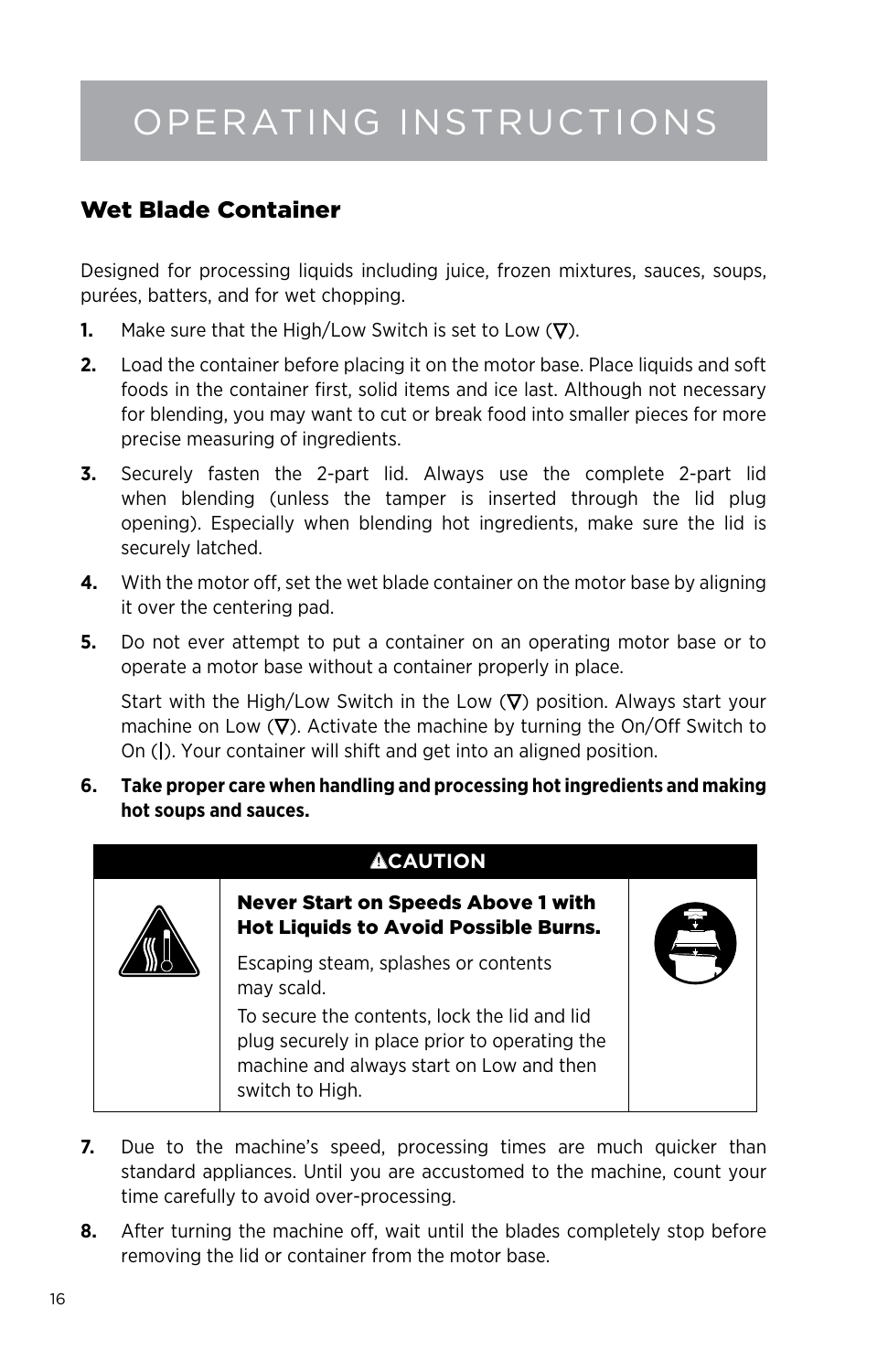## Operating Instructions

### Wet Blade Container

Designed for processing liquids including juice, frozen mixtures, sauces, soups, purées, batters, and for wet chopping.

- **1.** Make sure that the High/Low Switch is set to Low  $(\nabla)$ .
- **2.** Load the container before placing it on the motor base. Place liquids and soft foods in the container first, solid items and ice last. Although not necessary for blending, you may want to cut or break food into smaller pieces for more precise measuring of ingredients.
- **3.** Securely fasten the 2-part lid. Always use the complete 2-part lid when blending (unless the tamper is inserted through the lid plug opening). Especially when blending hot ingredients, make sure the lid is securely latched.
- **4.** With the motor off, set the wet blade container on the motor base by aligning it over the centering pad.
- **5.** Do not ever attempt to put a container on an operating motor base or to operate a motor base without a container properly in place.

Start with the High/Low Switch in the Low  $(\nabla)$  position. Always start your machine on Low  $(\nabla)$ . Activate the machine by turning the On/Off Switch to On (|). Your container will shift and get into an aligned position.

**6. Take proper care when handling and processing hot ingredients and making hot soups and sauces.**

## **ACAUTION** Never Start on Speeds Above 1 with Hot Liquids to Avoid Possible Burns. Escaping steam, splashes or contents may scald. To secure the contents, lock the lid and lid plug securely in place prior to operating the machine and always start on Low and then switch to High.

- **7.** Due to the machine's speed, processing times are much quicker than standard appliances. Until you are accustomed to the machine, count your time carefully to avoid over-processing.
- **8.** After turning the machine off, wait until the blades completely stop before removing the lid or container from the motor base.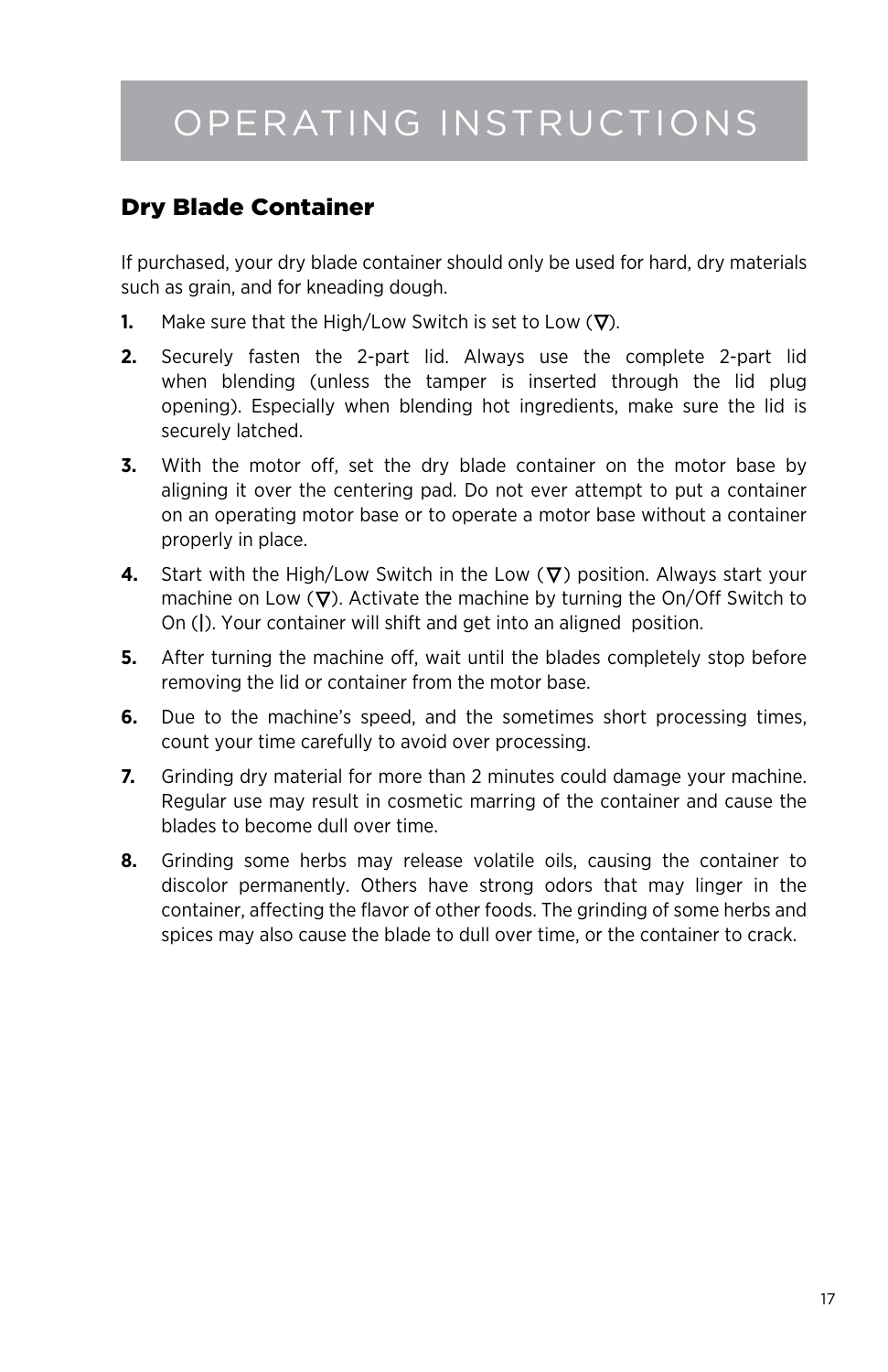## Operating Instructions

### Dry Blade Container

If purchased, your dry blade container should only be used for hard, dry materials such as grain, and for kneading dough.

- **1.** Make sure that the High/Low Switch is set to Low  $(\nabla)$ .
- **2.** Securely fasten the 2-part lid. Always use the complete 2-part lid when blending (unless the tamper is inserted through the lid plug opening). Especially when blending hot ingredients, make sure the lid is securely latched.
- **3.** With the motor off, set the dry blade container on the motor base by aligning it over the centering pad. Do not ever attempt to put a container on an operating motor base or to operate a motor base without a container properly in place.
- **4.** Start with the High/Low Switch in the Low  $(\nabla)$  position. Always start your machine on Low  $(\nabla)$ . Activate the machine by turning the On/Off Switch to On (|). Your container will shift and get into an aligned position.
- **5.** After turning the machine off, wait until the blades completely stop before removing the lid or container from the motor base.
- **6.** Due to the machine's speed, and the sometimes short processing times, count your time carefully to avoid over processing.
- **7.** Grinding dry material for more than 2 minutes could damage your machine. Regular use may result in cosmetic marring of the container and cause the blades to become dull over time.
- **8.** Grinding some herbs may release volatile oils, causing the container to discolor permanently. Others have strong odors that may linger in the container, affecting the flavor of other foods. The grinding of some herbs and spices may also cause the blade to dull over time, or the container to crack.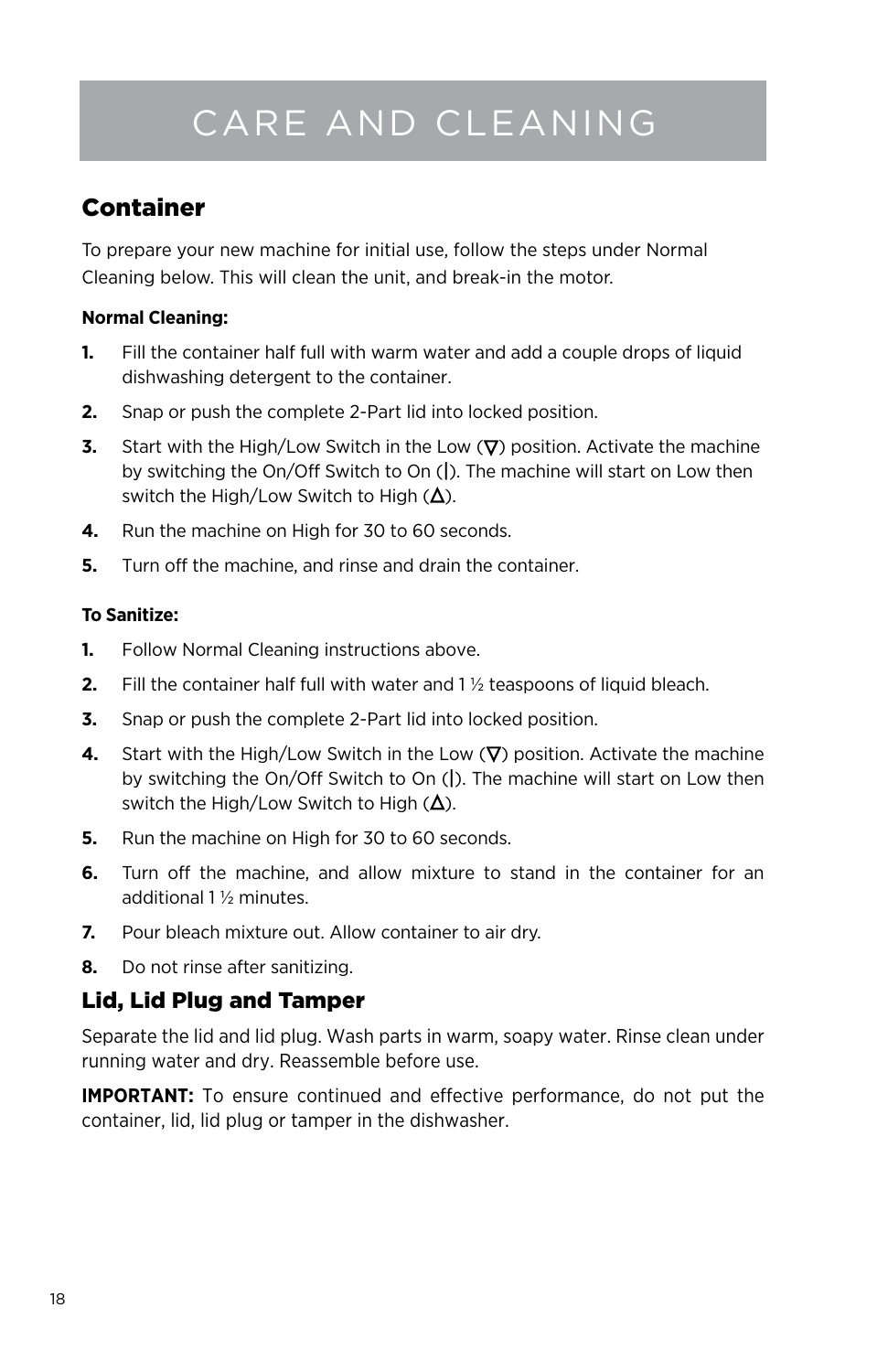## Care and Cleaning

### Container

To prepare your new machine for initial use, follow the steps under Normal Cleaning below. This will clean the unit, and break-in the motor.

#### **Normal Cleaning:**

- **1.** Fill the container half full with warm water and add a couple drops of liquid dishwashing detergent to the container.
- **2.** Snap or push the complete 2-Part lid into locked position.
- **3.** Start with the High/Low Switch in the Low  $(\nabla)$  position. Activate the machine by switching the On/Off Switch to On (|). The machine will start on Low then switch the High/Low Switch to High  $(\Delta)$ .
- **4.** Run the machine on High for 30 to 60 seconds.
- **5.** Turn off the machine, and rinse and drain the container.

### **To Sanitize:**

- **1.** Follow Normal Cleaning instructions above.
- **2.** Fill the container half full with water and 1 ½ teaspoons of liquid bleach.
- **3.** Snap or push the complete 2-Part lid into locked position.
- **4.** Start with the High/Low Switch in the Low  $(\nabla)$  position. Activate the machine by switching the On/Off Switch to On (|). The machine will start on Low then switch the High/Low Switch to High  $(\Delta)$ .
- **5.** Run the machine on High for 30 to 60 seconds.
- **6.** Turn off the machine, and allow mixture to stand in the container for an additional 1 ½ minutes.
- **7.** Pour bleach mixture out. Allow container to air dry.
- **8.** Do not rinse after sanitizing.

### Lid, Lid Plug and Tamper

Separate the lid and lid plug. Wash parts in warm, soapy water. Rinse clean under running water and dry. Reassemble before use.

**IMPORTANT:** To ensure continued and effective performance, do not put the container, lid, lid plug or tamper in the dishwasher.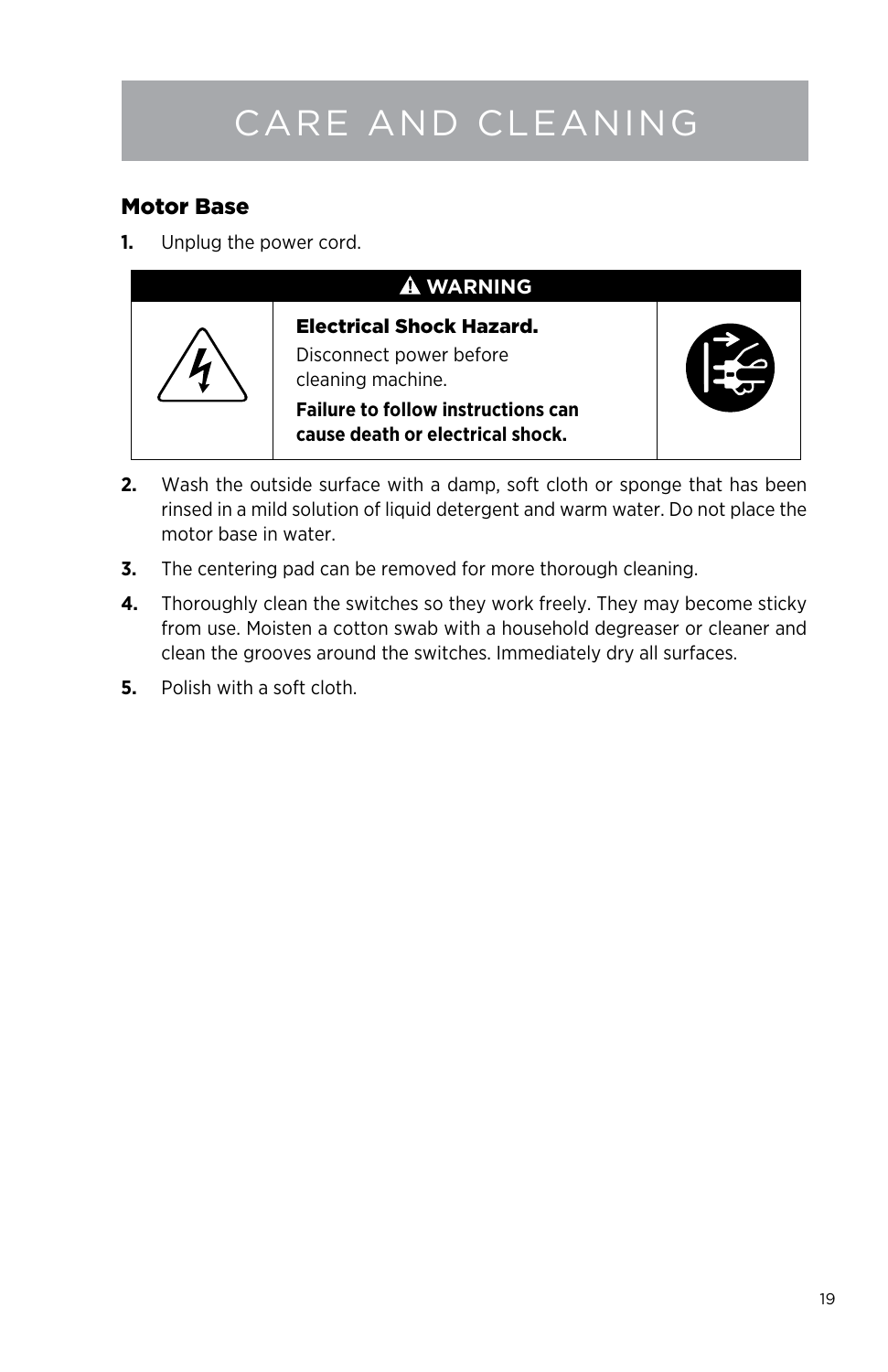# Care and Cleaning

### Motor Base

**1.** Unplug the power cord.

![](_page_18_Picture_3.jpeg)

- **2.** Wash the outside surface with a damp, soft cloth or sponge that has been rinsed in a mild solution of liquid detergent and warm water. Do not place the motor base in water.
- **3.** The centering pad can be removed for more thorough cleaning.
- **4.** Thoroughly clean the switches so they work freely. They may become sticky from use. Moisten a cotton swab with a household degreaser or cleaner and clean the grooves around the switches. Immediately dry all surfaces.
- **5.** Polish with a soft cloth.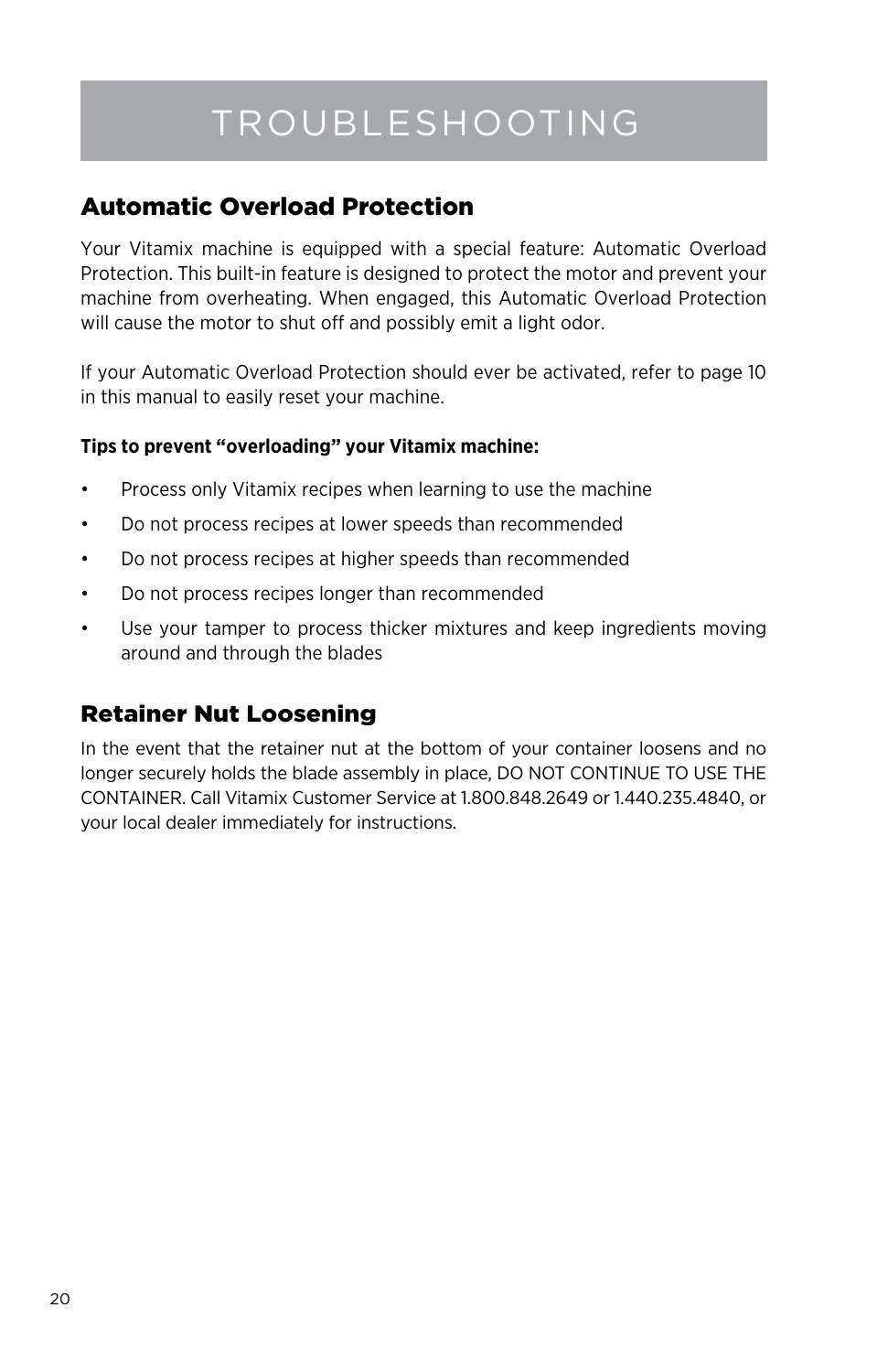## Troubleshooting

### Automatic Overload Protection

Your Vitamix machine is equipped with a special feature: Automatic Overload Protection. This built-in feature is designed to protect the motor and prevent your machine from overheating. When engaged, this Automatic Overload Protection will cause the motor to shut off and possibly emit a light odor.

If your Automatic Overload Protection should ever be activated, refer to page 10 in this manual to easily reset your machine.

### **Tips to prevent "overloading" your Vitamix machine:**

- Process only Vitamix recipes when learning to use the machine
- Do not process recipes at lower speeds than recommended
- • Do not process recipes at higher speeds than recommended
- • Do not process recipes longer than recommended
- • Use your tamper to process thicker mixtures and keep ingredients moving around and through the blades

### Retainer Nut Loosening

In the event that the retainer nut at the bottom of your container loosens and no longer securely holds the blade assembly in place, DO NOT CONTINUE TO USE THE CONTAINER. Call Vitamix Customer Service at 1.800.848.2649 or 1.440.235.4840, or your local dealer immediately for instructions.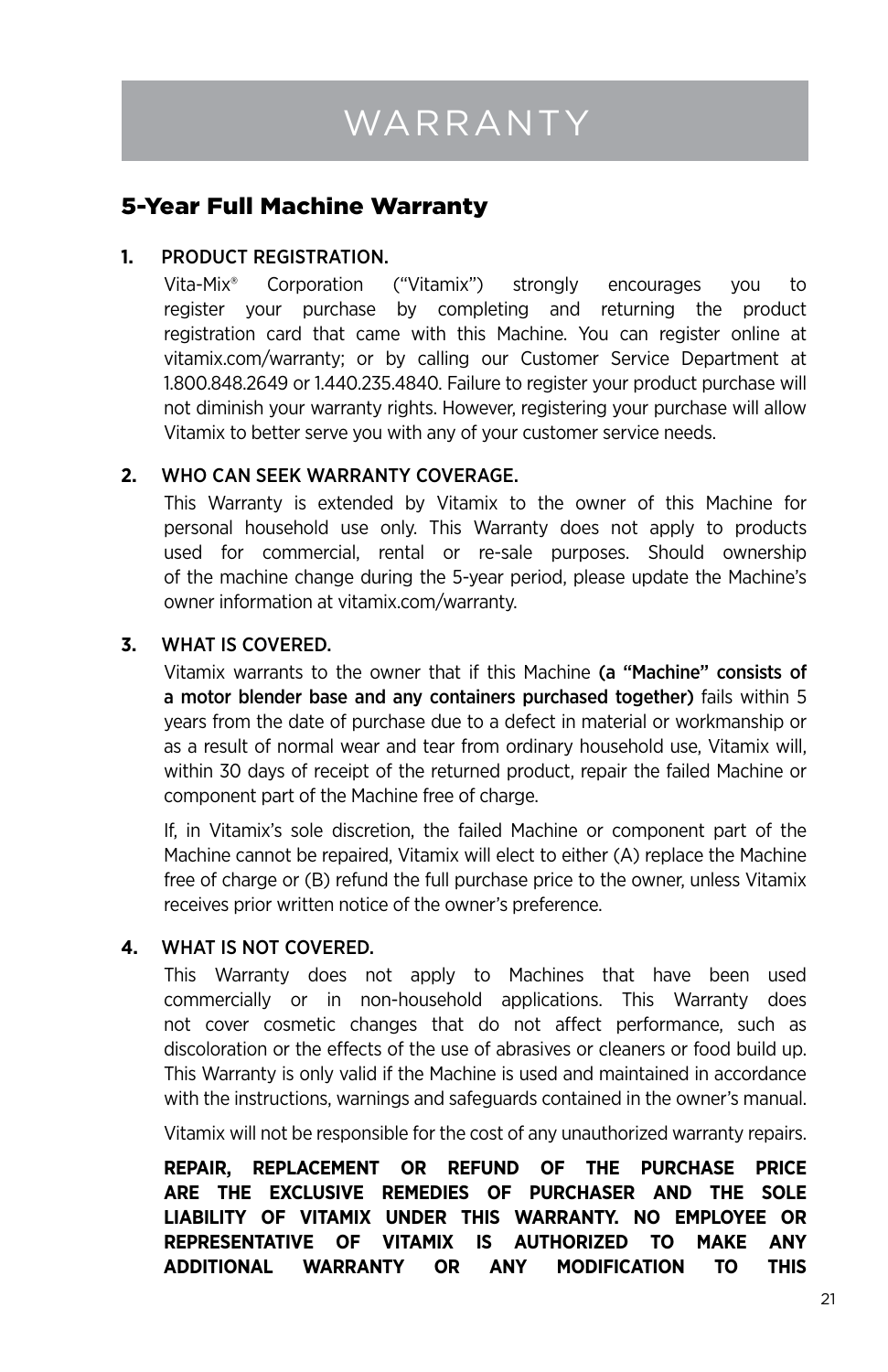### 5-Year Full Machine Warranty

### **1.** Product Registration.

Vita-Mix® Corporation ("Vitamix") strongly encourages you to register your purchase by completing and returning the product registration card that came with this Machine. You can register online at vitamix.com/warranty; or by calling our Customer Service Department at 1.800.848.2649 or 1.440.235.4840. Failure to register your product purchase will not diminish your warranty rights. However, registering your purchase will allow Vitamix to better serve you with any of your customer service needs.

### **2.** Who Can Seek Warranty Coverage.

This Warranty is extended by Vitamix to the owner of this Machine for personal household use only. This Warranty does not apply to products used for commercial, rental or re-sale purposes. Should ownership of the machine change during the 5-year period, please update the Machine's owner information at vitamix.com/warranty.

### **3.** What is Covered.

Vitamix warrants to the owner that if this Machine (a "Machine" consists of a motor blender base and any containers purchased together) fails within 5 years from the date of purchase due to a defect in material or workmanship or as a result of normal wear and tear from ordinary household use, Vitamix will, within 30 days of receipt of the returned product, repair the failed Machine or component part of the Machine free of charge.

If, in Vitamix's sole discretion, the failed Machine or component part of the Machine cannot be repaired, Vitamix will elect to either (A) replace the Machine free of charge or (B) refund the full purchase price to the owner, unless Vitamix receives prior written notice of the owner's preference.

### **4.** What is Not Covered.

This Warranty does not apply to Machines that have been used commercially or in non-household applications. This Warranty does not cover cosmetic changes that do not affect performance, such as discoloration or the effects of the use of abrasives or cleaners or food build up. This Warranty is only valid if the Machine is used and maintained in accordance with the instructions, warnings and safeguards contained in the owner's manual.

Vitamix will not be responsible for the cost of any unauthorized warranty repairs.

**REPAIR, REPLACEMENT OR REFUND OF THE PURCHASE PRICE ARE THE EXCLUSIVE REMEDIES OF PURCHASER AND THE SOLE LIABILITY OF VITAMIX UNDER THIS WARRANTY. NO EMPLOYEE OR REPRESENTATIVE OF VITAMIX IS AUTHORIZED TO MAKE ANY ADDITIONAL WARRANTY OR ANY MODIFICATION TO THIS**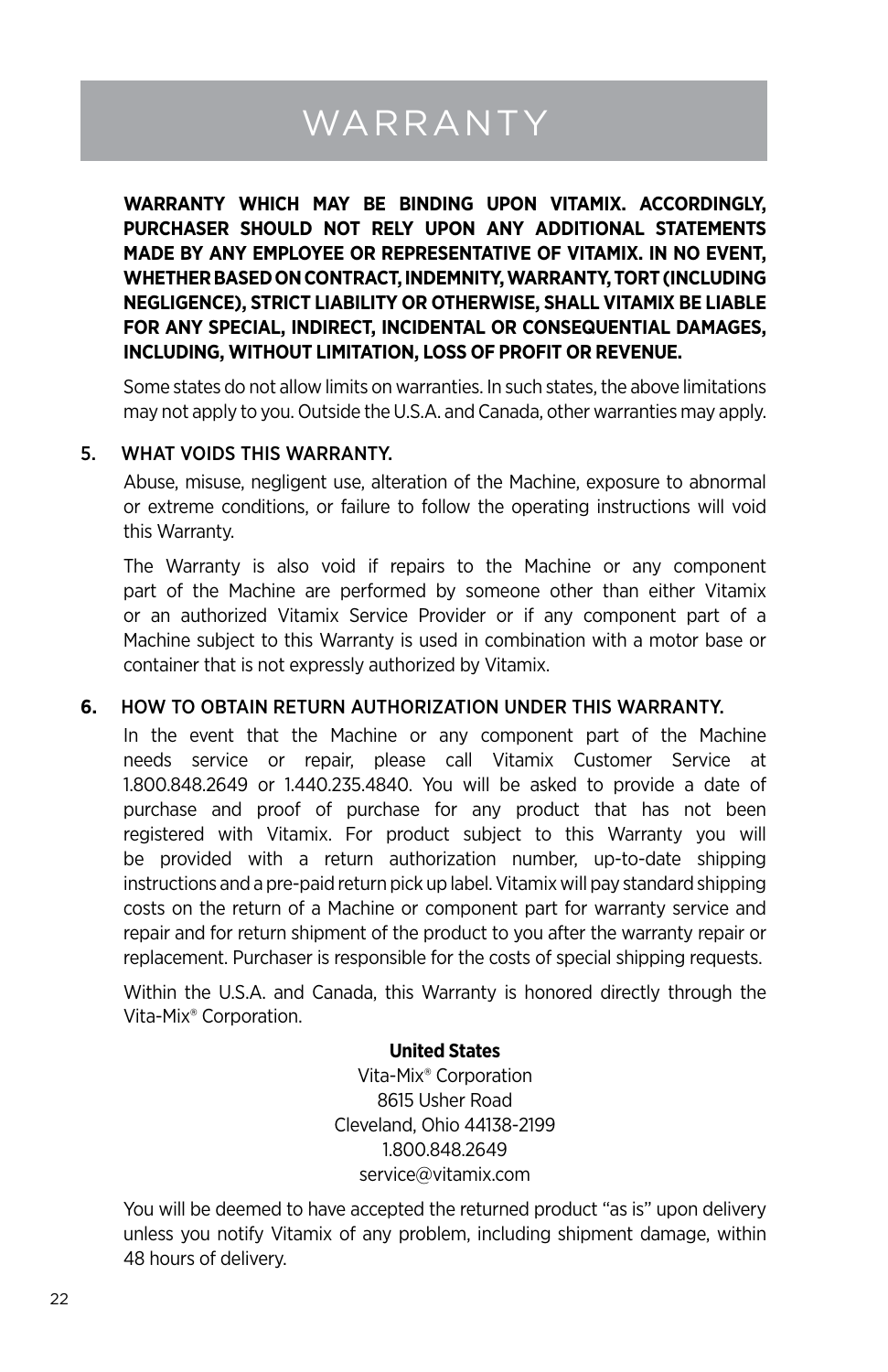# **WARRANTY**

**WARRANTY WHICH MAY BE BINDING UPON VITAMIX. ACCORDINGLY, PURCHASER SHOULD NOT RELY UPON ANY ADDITIONAL STATEMENTS MADE BY ANY EMPLOYEE OR REPRESENTATIVE OF VITAMIX. IN NO EVENT, WHETHER BASED ON CONTRACT, INDEMNITY, WARRANTY, TORT (INCLUDING NEGLIGENCE), STRICT LIABILITY OR OTHERWISE, SHALL VITAMIX BE LIABLE FOR ANY SPECIAL, INDIRECT, INCIDENTAL OR CONSEQUENTIAL DAMAGES, INCLUDING, WITHOUT LIMITATION, LOSS OF PROFIT OR REVENUE.** 

Some states do not allow limits on warranties. In such states, the above limitations may not apply to you. Outside the U.S.A. and Canada, other warranties may apply.

#### 5. What Voids this Warranty.

Abuse, misuse, negligent use, alteration of the Machine, exposure to abnormal or extreme conditions, or failure to follow the operating instructions will void this Warranty.

The Warranty is also void if repairs to the Machine or any component part of the Machine are performed by someone other than either Vitamix or an authorized Vitamix Service Provider or if any component part of a Machine subject to this Warranty is used in combination with a motor base or container that is not expressly authorized by Vitamix.

#### **6.** How to Obtain Return Authorization Under This Warranty.

In the event that the Machine or any component part of the Machine needs service or repair, please call Vitamix Customer Service at 1.800.848.2649 or 1.440.235.4840. You will be asked to provide a date of purchase and proof of purchase for any product that has not been registered with Vitamix. For product subject to this Warranty you will be provided with a return authorization number, up-to-date shipping instructions and a pre-paid return pick up label. Vitamix will pay standard shipping costs on the return of a Machine or component part for warranty service and repair and for return shipment of the product to you after the warranty repair or replacement. Purchaser is responsible for the costs of special shipping requests.

Within the U.S.A. and Canada, this Warranty is honored directly through the Vita-Mix® Corporation.

#### **United States**

Vita-Mix® Corporation 8615 Usher Road Cleveland, Ohio 44138-2199 1.800.848.2649 service@vitamix.com

You will be deemed to have accepted the returned product "as is" upon delivery unless you notify Vitamix of any problem, including shipment damage, within 48 hours of delivery.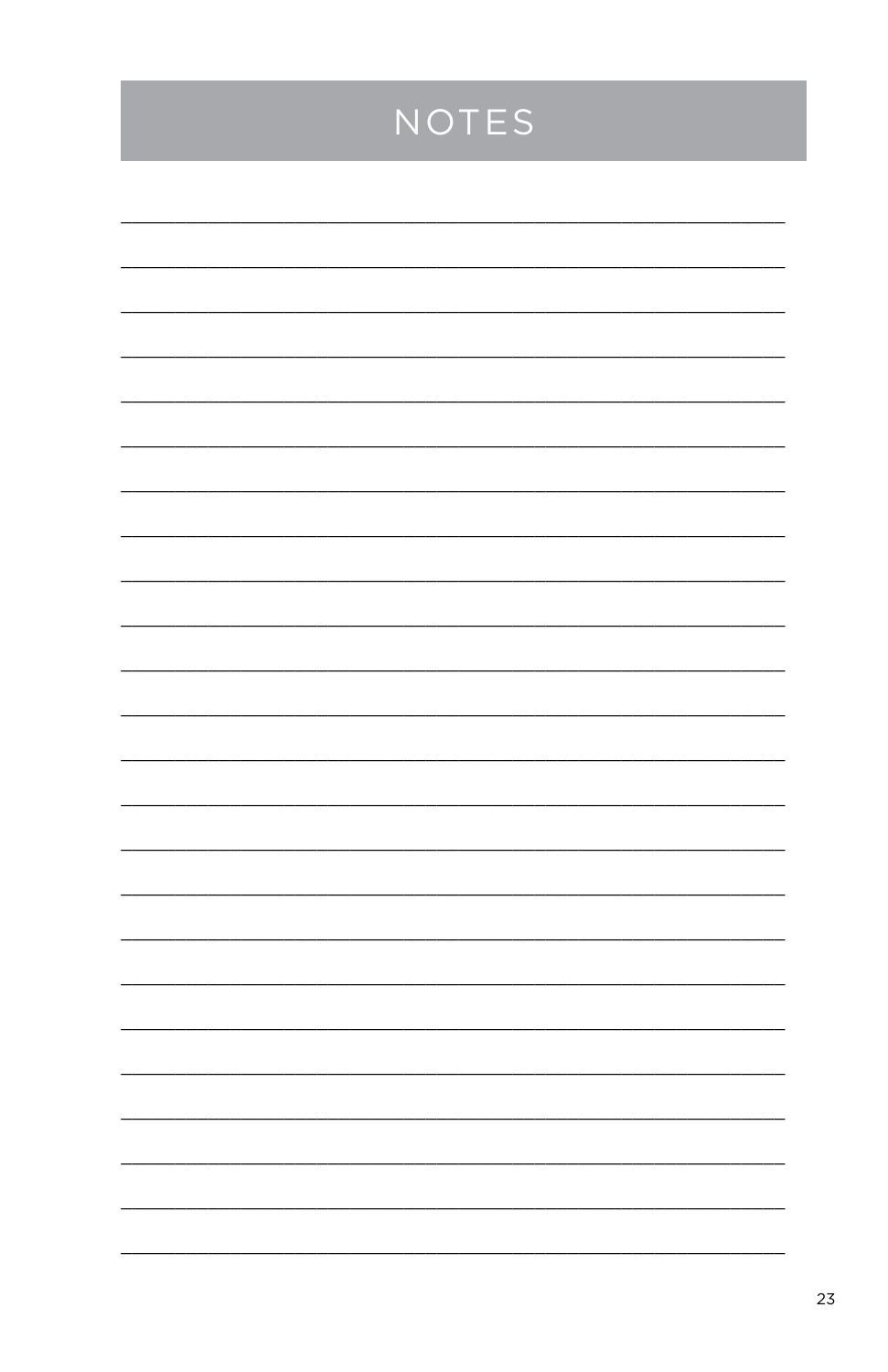## NOTES